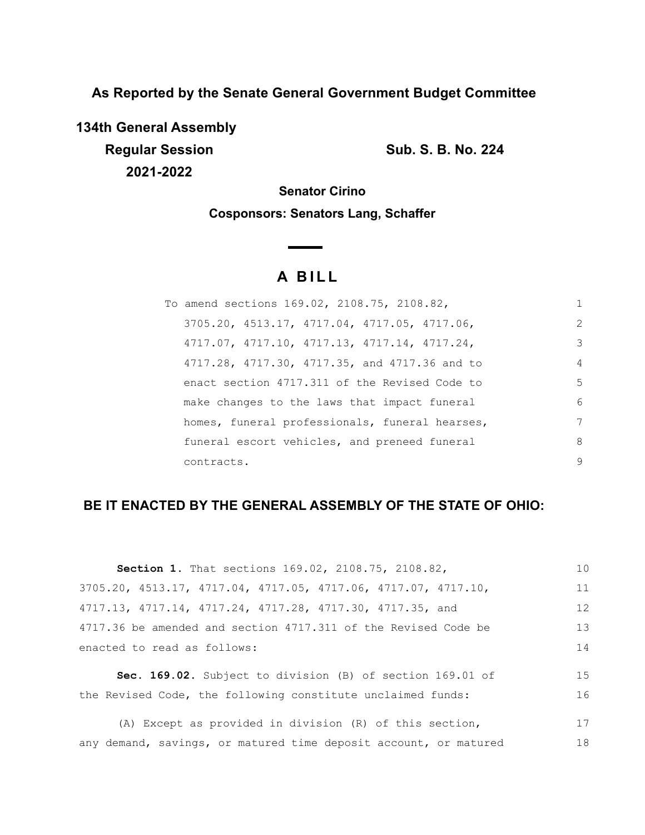**As Reported by the Senate General Government Budget Committee**

**134th General Assembly Regular Session Sub. S. B. No. 224 2021-2022**

**Senator Cirino**

**Cosponsors: Senators Lang, Schaffer**

# **A BILL**

| To amend sections 169.02, 2108.75, 2108.82,    | 1              |
|------------------------------------------------|----------------|
| 3705.20, 4513.17, 4717.04, 4717.05, 4717.06,   | $\overline{2}$ |
| 4717.07, 4717.10, 4717.13, 4717.14, 4717.24,   | 3              |
| 4717.28, 4717.30, 4717.35, and 4717.36 and to  | $\overline{4}$ |
| enact section 4717.311 of the Revised Code to  | 5              |
| make changes to the laws that impact funeral   | 6              |
| homes, funeral professionals, funeral hearses, | 7              |
| funeral escort vehicles, and preneed funeral   | 8              |
| contracts.                                     | 9              |

# **BE IT ENACTED BY THE GENERAL ASSEMBLY OF THE STATE OF OHIO:**

| Section 1. That sections 169.02, 2108.75, 2108.82,                                  | 10  |
|-------------------------------------------------------------------------------------|-----|
| $3705.20$ , $4513.17$ , $4717.04$ , $4717.05$ , $4717.06$ , $4717.07$ , $4717.10$ , | 11  |
| 4717.13, 4717.14, 4717.24, 4717.28, 4717.30, 4717.35, and                           | 12  |
| 4717.36 be amended and section 4717.311 of the Revised Code be                      | 13  |
| enacted to read as follows:                                                         | 14  |
|                                                                                     | 1.5 |
| Sec. 169.02. Subject to division (B) of section 169.01 of                           |     |
| the Revised Code, the following constitute unclaimed funds:                         | 16  |
|                                                                                     |     |

(A) Except as provided in division (R) of this section, any demand, savings, or matured time deposit account, or matured 17 18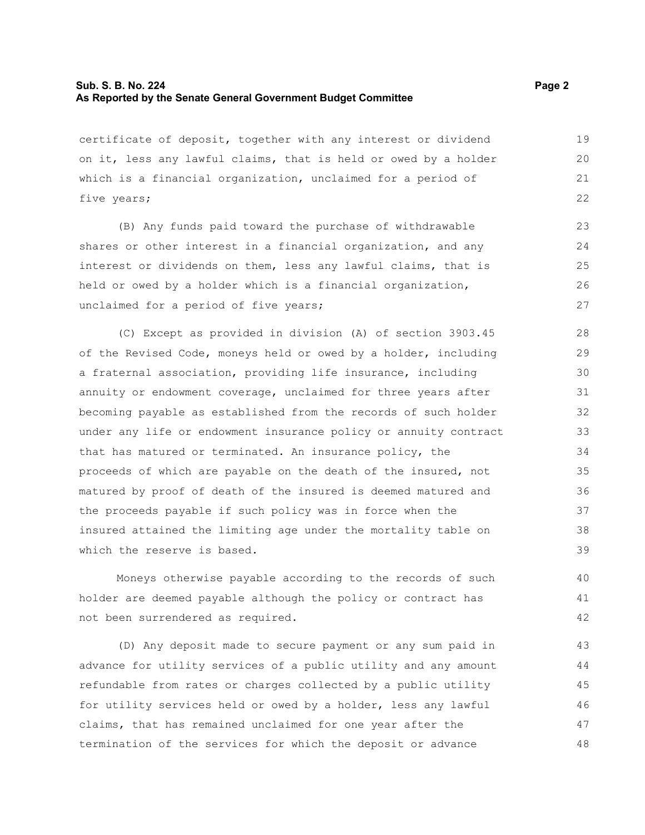## **Sub. S. B. No. 224 Page 2 Page 2 As Reported by the Senate General Government Budget Committee**

certificate of deposit, together with any interest or dividend on it, less any lawful claims, that is held or owed by a holder which is a financial organization, unclaimed for a period of five years;

(B) Any funds paid toward the purchase of withdrawable shares or other interest in a financial organization, and any interest or dividends on them, less any lawful claims, that is held or owed by a holder which is a financial organization, unclaimed for a period of five years;

(C) Except as provided in division (A) of section 3903.45 of the Revised Code, moneys held or owed by a holder, including a fraternal association, providing life insurance, including annuity or endowment coverage, unclaimed for three years after becoming payable as established from the records of such holder under any life or endowment insurance policy or annuity contract that has matured or terminated. An insurance policy, the proceeds of which are payable on the death of the insured, not matured by proof of death of the insured is deemed matured and the proceeds payable if such policy was in force when the insured attained the limiting age under the mortality table on which the reserve is based.

Moneys otherwise payable according to the records of such holder are deemed payable although the policy or contract has not been surrendered as required.

(D) Any deposit made to secure payment or any sum paid in advance for utility services of a public utility and any amount refundable from rates or charges collected by a public utility for utility services held or owed by a holder, less any lawful claims, that has remained unclaimed for one year after the termination of the services for which the deposit or advance

40 41 42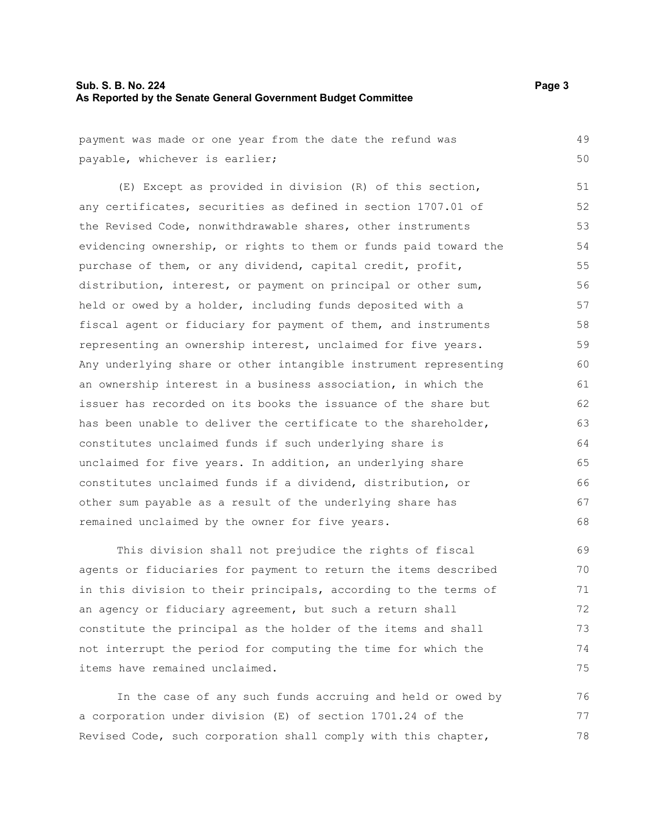# **Sub. S. B. No. 224 Page 3 As Reported by the Senate General Government Budget Committee**

payment was made or one year from the date the refund was payable, whichever is earlier;

(E) Except as provided in division (R) of this section, any certificates, securities as defined in section 1707.01 of the Revised Code, nonwithdrawable shares, other instruments evidencing ownership, or rights to them or funds paid toward the purchase of them, or any dividend, capital credit, profit, distribution, interest, or payment on principal or other sum, held or owed by a holder, including funds deposited with a fiscal agent or fiduciary for payment of them, and instruments representing an ownership interest, unclaimed for five years. Any underlying share or other intangible instrument representing an ownership interest in a business association, in which the issuer has recorded on its books the issuance of the share but has been unable to deliver the certificate to the shareholder, constitutes unclaimed funds if such underlying share is unclaimed for five years. In addition, an underlying share constitutes unclaimed funds if a dividend, distribution, or other sum payable as a result of the underlying share has remained unclaimed by the owner for five years. 51 52 53 54 55 56 57 58 59 60 61 62 63 64 65 66 67 68

This division shall not prejudice the rights of fiscal agents or fiduciaries for payment to return the items described in this division to their principals, according to the terms of an agency or fiduciary agreement, but such a return shall constitute the principal as the holder of the items and shall not interrupt the period for computing the time for which the items have remained unclaimed. 69 70 71 72 73 74 75

In the case of any such funds accruing and held or owed by a corporation under division (E) of section 1701.24 of the Revised Code, such corporation shall comply with this chapter, 76 77 78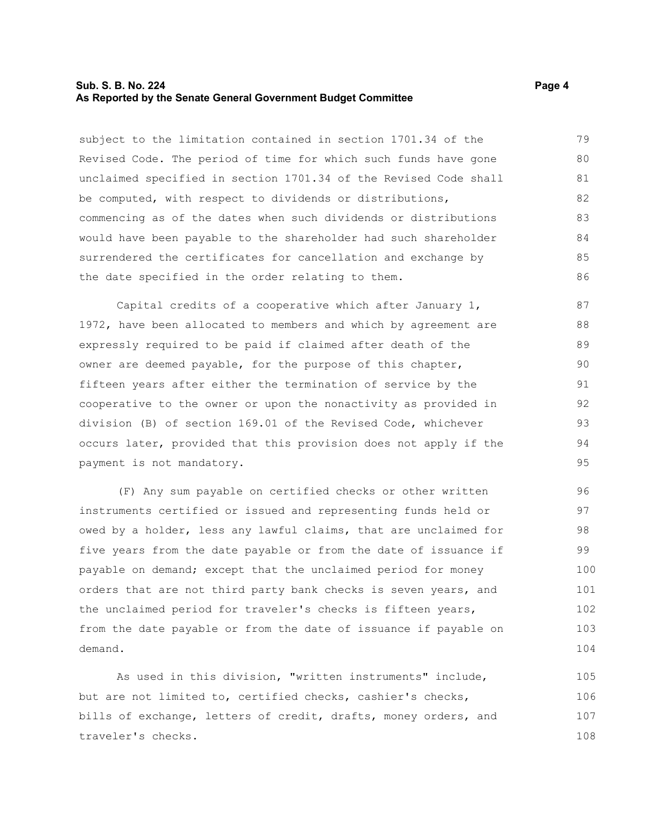# **Sub. S. B. No. 224 Page 4 Page 4 Page 4 Page 4 Page 4 Page 4 Page 4 Page 4 As Reported by the Senate General Government Budget Committee**

subject to the limitation contained in section 1701.34 of the Revised Code. The period of time for which such funds have gone unclaimed specified in section 1701.34 of the Revised Code shall be computed, with respect to dividends or distributions, commencing as of the dates when such dividends or distributions would have been payable to the shareholder had such shareholder surrendered the certificates for cancellation and exchange by the date specified in the order relating to them. 79 80 81 82 83 84 85 86

Capital credits of a cooperative which after January 1, 1972, have been allocated to members and which by agreement are expressly required to be paid if claimed after death of the owner are deemed payable, for the purpose of this chapter, fifteen years after either the termination of service by the cooperative to the owner or upon the nonactivity as provided in division (B) of section 169.01 of the Revised Code, whichever occurs later, provided that this provision does not apply if the payment is not mandatory. 87 88 89 90 91 92 93 94 95

(F) Any sum payable on certified checks or other written instruments certified or issued and representing funds held or owed by a holder, less any lawful claims, that are unclaimed for five years from the date payable or from the date of issuance if payable on demand; except that the unclaimed period for money orders that are not third party bank checks is seven years, and the unclaimed period for traveler's checks is fifteen years, from the date payable or from the date of issuance if payable on demand. 96 97 98 99 100 101 102 103 104

As used in this division, "written instruments" include, but are not limited to, certified checks, cashier's checks, bills of exchange, letters of credit, drafts, money orders, and traveler's checks. 105 106 107 108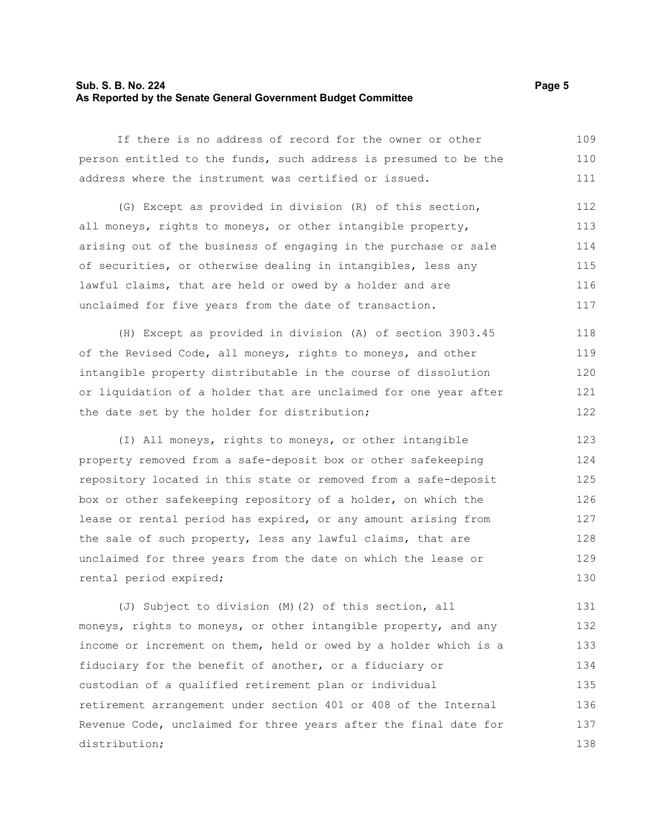## **Sub. S. B. No. 224 Page 5 As Reported by the Senate General Government Budget Committee**

If there is no address of record for the owner or other person entitled to the funds, such address is presumed to be the address where the instrument was certified or issued. 109 110 111

(G) Except as provided in division (R) of this section, all moneys, rights to moneys, or other intangible property, arising out of the business of engaging in the purchase or sale of securities, or otherwise dealing in intangibles, less any lawful claims, that are held or owed by a holder and are unclaimed for five years from the date of transaction. 112 113 114 115 116 117

(H) Except as provided in division (A) of section 3903.45 of the Revised Code, all moneys, rights to moneys, and other intangible property distributable in the course of dissolution or liquidation of a holder that are unclaimed for one year after the date set by the holder for distribution; 118 119 120 121 122

(I) All moneys, rights to moneys, or other intangible property removed from a safe-deposit box or other safekeeping repository located in this state or removed from a safe-deposit box or other safekeeping repository of a holder, on which the lease or rental period has expired, or any amount arising from the sale of such property, less any lawful claims, that are unclaimed for three years from the date on which the lease or rental period expired; 123 124 125 126 127 128 129 130

(J) Subject to division (M)(2) of this section, all moneys, rights to moneys, or other intangible property, and any income or increment on them, held or owed by a holder which is a fiduciary for the benefit of another, or a fiduciary or custodian of a qualified retirement plan or individual retirement arrangement under section 401 or 408 of the Internal Revenue Code, unclaimed for three years after the final date for distribution; 131 132 133 134 135 136 137 138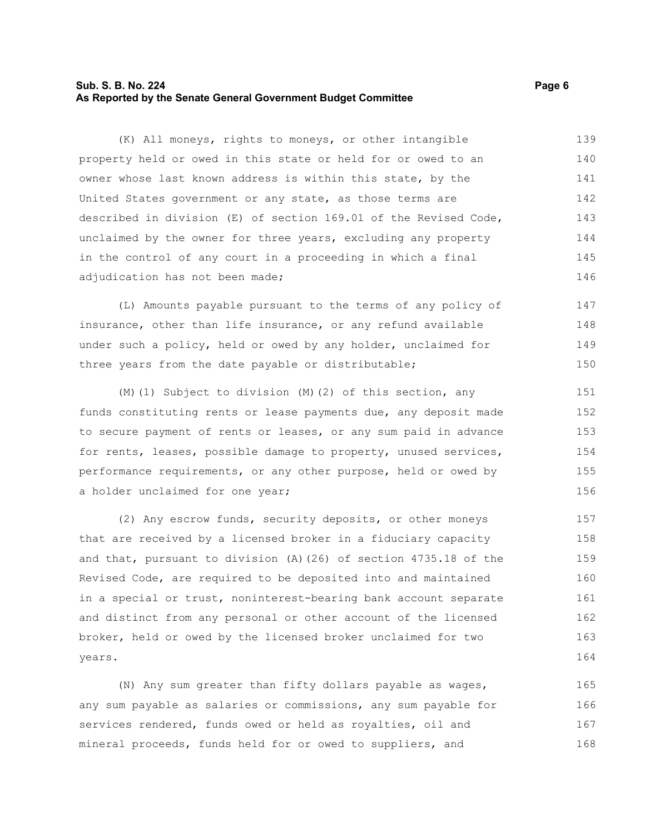# **Sub. S. B. No. 224 Page 6 As Reported by the Senate General Government Budget Committee**

(K) All moneys, rights to moneys, or other intangible property held or owed in this state or held for or owed to an owner whose last known address is within this state, by the United States government or any state, as those terms are described in division (E) of section 169.01 of the Revised Code, unclaimed by the owner for three years, excluding any property in the control of any court in a proceeding in which a final adjudication has not been made; 139 140 141 142 143 144 145 146

(L) Amounts payable pursuant to the terms of any policy of insurance, other than life insurance, or any refund available under such a policy, held or owed by any holder, unclaimed for three years from the date payable or distributable; 147 148 149 150

(M)(1) Subject to division (M)(2) of this section, any funds constituting rents or lease payments due, any deposit made to secure payment of rents or leases, or any sum paid in advance for rents, leases, possible damage to property, unused services, performance requirements, or any other purpose, held or owed by a holder unclaimed for one year;

(2) Any escrow funds, security deposits, or other moneys that are received by a licensed broker in a fiduciary capacity and that, pursuant to division (A)(26) of section 4735.18 of the Revised Code, are required to be deposited into and maintained in a special or trust, noninterest-bearing bank account separate and distinct from any personal or other account of the licensed broker, held or owed by the licensed broker unclaimed for two years.

(N) Any sum greater than fifty dollars payable as wages, any sum payable as salaries or commissions, any sum payable for services rendered, funds owed or held as royalties, oil and mineral proceeds, funds held for or owed to suppliers, and 165 166 167 168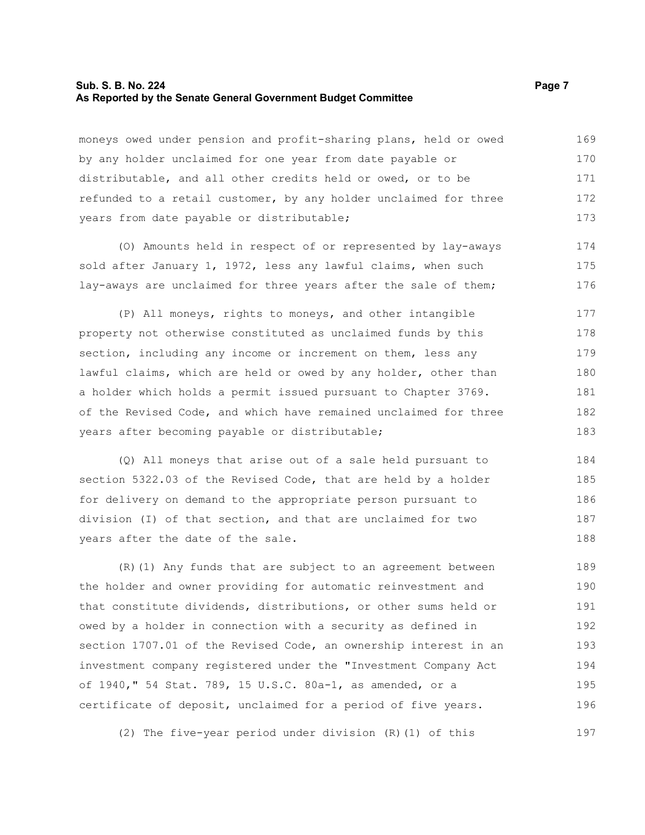#### **Sub. S. B. No. 224 Page 7 Page 7 As Reported by the Senate General Government Budget Committee**

moneys owed under pension and profit-sharing plans, held or owed by any holder unclaimed for one year from date payable or distributable, and all other credits held or owed, or to be refunded to a retail customer, by any holder unclaimed for three years from date payable or distributable; 169 170 171 172 173

(O) Amounts held in respect of or represented by lay-aways sold after January 1, 1972, less any lawful claims, when such lay-aways are unclaimed for three years after the sale of them;

(P) All moneys, rights to moneys, and other intangible property not otherwise constituted as unclaimed funds by this section, including any income or increment on them, less any lawful claims, which are held or owed by any holder, other than a holder which holds a permit issued pursuant to Chapter 3769. of the Revised Code, and which have remained unclaimed for three years after becoming payable or distributable; 177 178 179 180 181 182 183

(Q) All moneys that arise out of a sale held pursuant to section 5322.03 of the Revised Code, that are held by a holder for delivery on demand to the appropriate person pursuant to division (I) of that section, and that are unclaimed for two years after the date of the sale. 184 185 186 187 188

(R)(1) Any funds that are subject to an agreement between the holder and owner providing for automatic reinvestment and that constitute dividends, distributions, or other sums held or owed by a holder in connection with a security as defined in section 1707.01 of the Revised Code, an ownership interest in an investment company registered under the "Investment Company Act of 1940," 54 Stat. 789, 15 U.S.C. 80a-1, as amended, or a certificate of deposit, unclaimed for a period of five years. 189 190 191 192 193 194 195 196

(2) The five-year period under division (R)(1) of this

174 175 176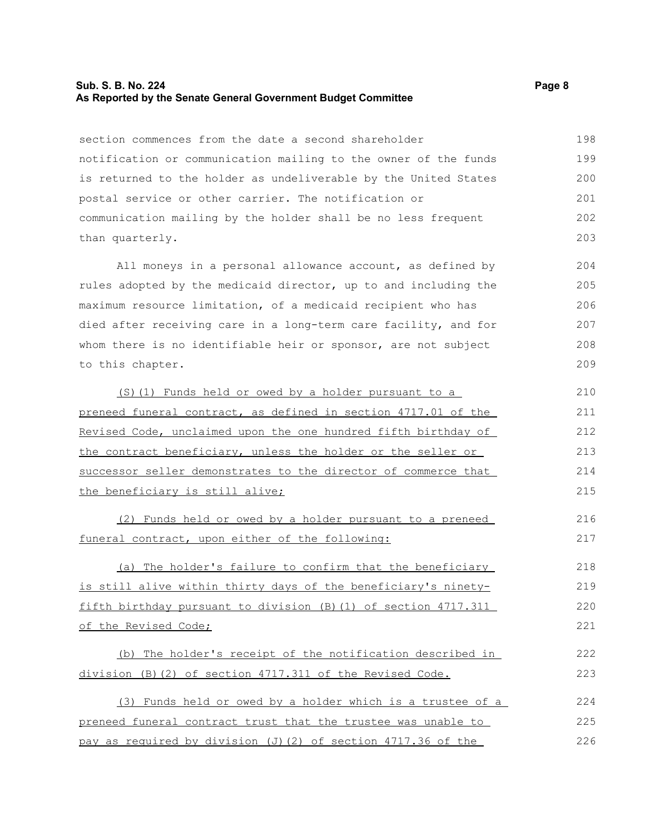## **Sub. S. B. No. 224 Page 8 As Reported by the Senate General Government Budget Committee**

section commences from the date a second shareholder notification or communication mailing to the owner of the funds is returned to the holder as undeliverable by the United States postal service or other carrier. The notification or communication mailing by the holder shall be no less frequent than quarterly. 198 199 200 201 202 203

All moneys in a personal allowance account, as defined by rules adopted by the medicaid director, up to and including the maximum resource limitation, of a medicaid recipient who has died after receiving care in a long-term care facility, and for whom there is no identifiable heir or sponsor, are not subject to this chapter.

(S)(1) Funds held or owed by a holder pursuant to a preneed funeral contract, as defined in section 4717.01 of the Revised Code, unclaimed upon the one hundred fifth birthday of the contract beneficiary, unless the holder or the seller or successor seller demonstrates to the director of commerce that the beneficiary is still alive; 210 211 212 213 214 215

(2) Funds held or owed by a holder pursuant to a preneed funeral contract, upon either of the following:

(a) The holder's failure to confirm that the beneficiary is still alive within thirty days of the beneficiary's ninetyfifth birthday pursuant to division (B)(1) of section 4717.311 of the Revised Code; 218 219 220 221

(b) The holder's receipt of the notification described in division (B)(2) of section 4717.311 of the Revised Code. 222 223

(3) Funds held or owed by a holder which is a trustee of a preneed funeral contract trust that the trustee was unable to pay as required by division (J)(2) of section 4717.36 of the 224 225 226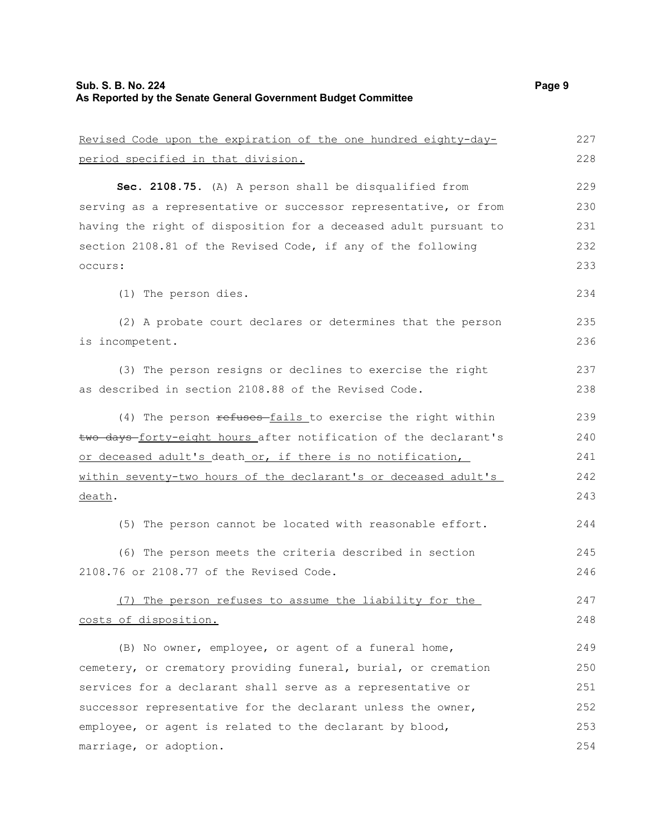# **Sub. S. B. No. 224** Page 9 **As Reported by the Senate General Government Budget Committee**

| Revised Code upon the expiration of the one hundred eighty-day-  | 227 |
|------------------------------------------------------------------|-----|
| period specified in that division.                               | 228 |
| Sec. 2108.75. (A) A person shall be disqualified from            | 229 |
| serving as a representative or successor representative, or from | 230 |
| having the right of disposition for a deceased adult pursuant to | 231 |
| section 2108.81 of the Revised Code, if any of the following     | 232 |
| occurs:                                                          | 233 |
| (1) The person dies.                                             | 234 |
| (2) A probate court declares or determines that the person       | 235 |
| is incompetent.                                                  | 236 |
| (3) The person resigns or declines to exercise the right         | 237 |
| as described in section 2108.88 of the Revised Code.             | 238 |
| (4) The person refuses fails to exercise the right within        | 239 |
| two days-forty-eight hours after notification of the declarant's | 240 |
| or deceased adult's death or, if there is no notification,       | 241 |
| within seventy-two hours of the declarant's or deceased adult's  | 242 |
| death.                                                           | 243 |
| (5) The person cannot be located with reasonable effort.         | 244 |
| (6) The person meets the criteria described in section           | 245 |
| 2108.76 or 2108.77 of the Revised Code.                          | 246 |
| (7) The person refuses to assume the liability for the           | 247 |
| costs of disposition.                                            | 248 |
| (B) No owner, employee, or agent of a funeral home,              | 249 |
| cemetery, or crematory providing funeral, burial, or cremation   | 250 |
| services for a declarant shall serve as a representative or      | 251 |
| successor representative for the declarant unless the owner,     | 252 |
| employee, or agent is related to the declarant by blood,         | 253 |
| marriage, or adoption.                                           | 254 |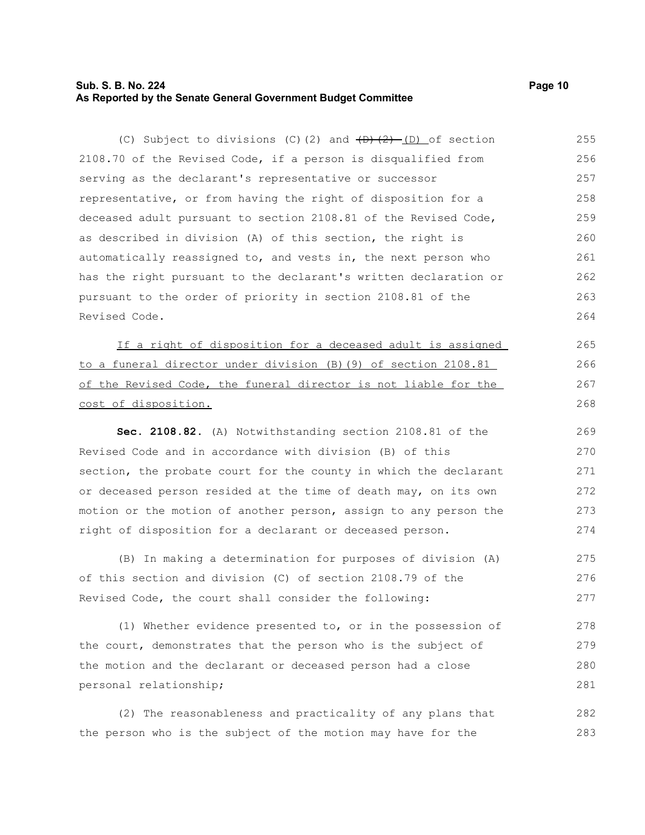# **Sub. S. B. No. 224 Page 10 As Reported by the Senate General Government Budget Committee**

(C) Subject to divisions (C)(2) and  $\overline{(D)+(2)}$  (D) of section 2108.70 of the Revised Code, if a person is disqualified from serving as the declarant's representative or successor representative, or from having the right of disposition for a deceased adult pursuant to section 2108.81 of the Revised Code, as described in division (A) of this section, the right is automatically reassigned to, and vests in, the next person who has the right pursuant to the declarant's written declaration or pursuant to the order of priority in section 2108.81 of the Revised Code. 255 256 257 258 259 260 261 262 263 264

If a right of disposition for a deceased adult is assigned to a funeral director under division (B)(9) of section 2108.81 of the Revised Code, the funeral director is not liable for the cost of disposition.

**Sec. 2108.82.** (A) Notwithstanding section 2108.81 of the Revised Code and in accordance with division (B) of this section, the probate court for the county in which the declarant or deceased person resided at the time of death may, on its own motion or the motion of another person, assign to any person the right of disposition for a declarant or deceased person.

(B) In making a determination for purposes of division (A) of this section and division (C) of section 2108.79 of the Revised Code, the court shall consider the following: 275 276 277

(1) Whether evidence presented to, or in the possession of the court, demonstrates that the person who is the subject of the motion and the declarant or deceased person had a close personal relationship; 278 279 280 281

(2) The reasonableness and practicality of any plans that the person who is the subject of the motion may have for the 282 283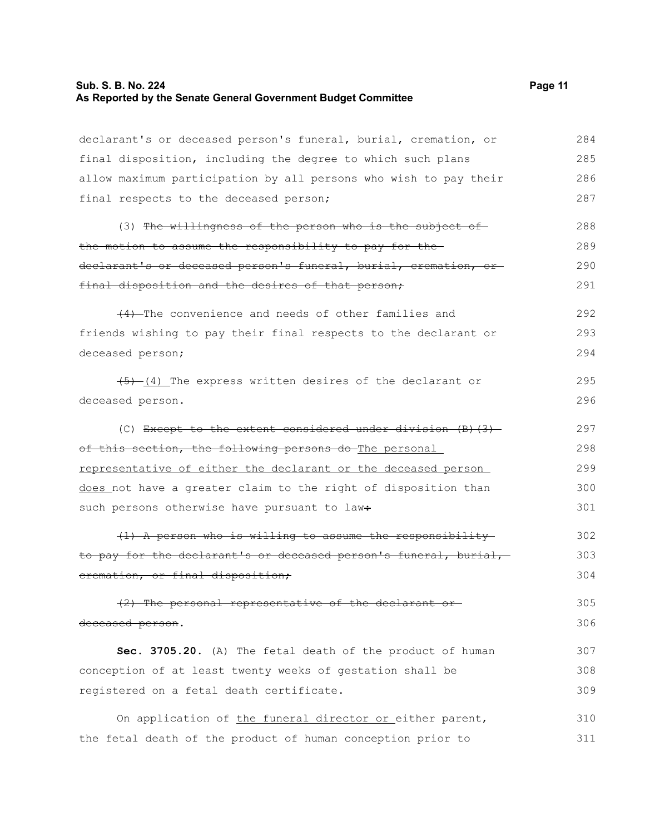## **Sub. S. B. No. 224 Page 11 As Reported by the Senate General Government Budget Committee**

declarant's or deceased person's funeral, burial, cremation, or

final disposition, including the degree to which such plans allow maximum participation by all persons who wish to pay their final respects to the deceased person; (3) The willingness of the person who is the subject of the motion to assume the responsibility to pay for the declarant's or deceased person's funeral, burial, cremation, or final disposition and the desires of that person; (4) The convenience and needs of other families and friends wishing to pay their final respects to the declarant or deceased person;  $(4)$  The express written desires of the declarant or deceased person. (C) Except to the extent considered under division (B)(3)

of this section, the following persons do The personal representative of either the declarant or the deceased person does not have a greater claim to the right of disposition than such persons otherwise have pursuant to law÷ 298 299 300 301

(1) A person who is willing to assume the responsibility to pay for the declarant's or deceased person's funeral, burial, cremation, or final disposition; 302 303 304

(2) The personal representative of the declarant or deceased person. 305 306

**Sec. 3705.20.** (A) The fetal death of the product of human conception of at least twenty weeks of gestation shall be registered on a fetal death certificate. 307 308 309

On application of the funeral director or either parent, the fetal death of the product of human conception prior to 310 311

292 293 294

295 296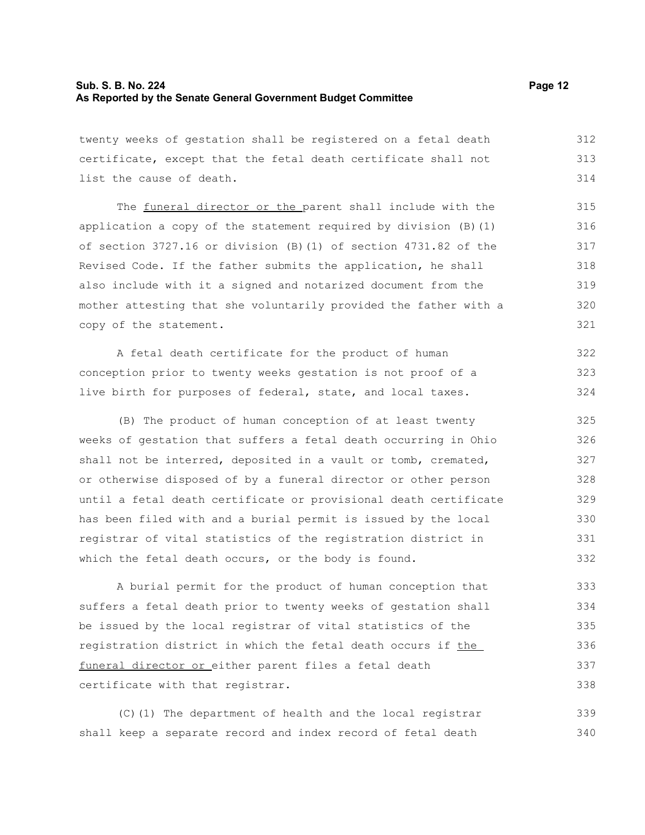# **Sub. S. B. No. 224 Page 12 As Reported by the Senate General Government Budget Committee**

twenty weeks of gestation shall be registered on a fetal death certificate, except that the fetal death certificate shall not list the cause of death. 312 313 314

The funeral director or the parent shall include with the application a copy of the statement required by division (B)(1) of section 3727.16 or division (B)(1) of section 4731.82 of the Revised Code. If the father submits the application, he shall also include with it a signed and notarized document from the mother attesting that she voluntarily provided the father with a copy of the statement.

A fetal death certificate for the product of human conception prior to twenty weeks gestation is not proof of a live birth for purposes of federal, state, and local taxes. 322 323 324

(B) The product of human conception of at least twenty weeks of gestation that suffers a fetal death occurring in Ohio shall not be interred, deposited in a vault or tomb, cremated, or otherwise disposed of by a funeral director or other person until a fetal death certificate or provisional death certificate has been filed with and a burial permit is issued by the local registrar of vital statistics of the registration district in which the fetal death occurs, or the body is found. 325 326 327 328 329 330 331 332

A burial permit for the product of human conception that suffers a fetal death prior to twenty weeks of gestation shall be issued by the local registrar of vital statistics of the registration district in which the fetal death occurs if the funeral director or either parent files a fetal death certificate with that registrar. 333 334 335 336 337 338

(C)(1) The department of health and the local registrar shall keep a separate record and index record of fetal death 339 340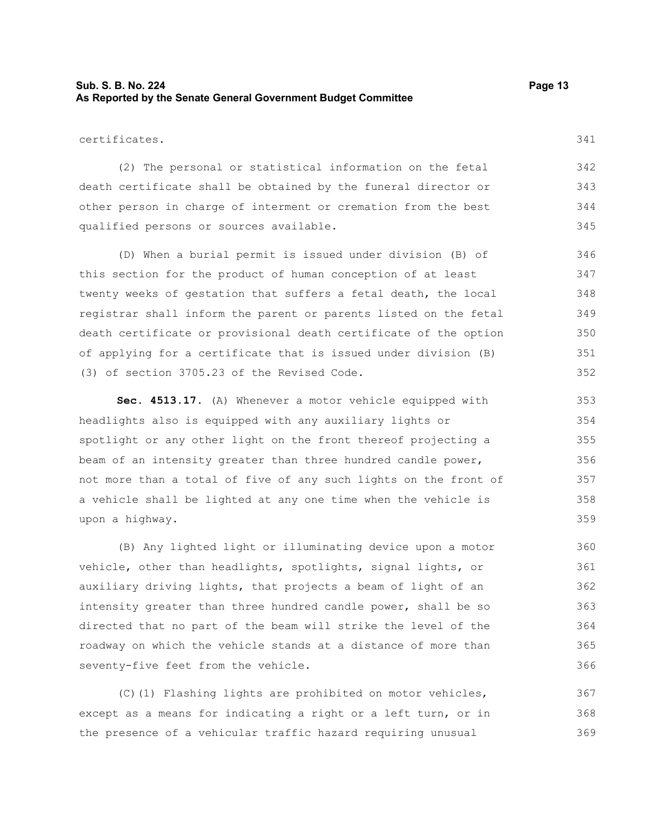# **Sub. S. B. No. 224 Page 13 As Reported by the Senate General Government Budget Committee**

(2) The personal or statistical information on the fetal death certificate shall be obtained by the funeral director or other person in charge of interment or cremation from the best qualified persons or sources available.

(D) When a burial permit is issued under division (B) of this section for the product of human conception of at least twenty weeks of gestation that suffers a fetal death, the local registrar shall inform the parent or parents listed on the fetal death certificate or provisional death certificate of the option of applying for a certificate that is issued under division (B) (3) of section 3705.23 of the Revised Code.

**Sec. 4513.17.** (A) Whenever a motor vehicle equipped with headlights also is equipped with any auxiliary lights or spotlight or any other light on the front thereof projecting a beam of an intensity greater than three hundred candle power, not more than a total of five of any such lights on the front of a vehicle shall be lighted at any one time when the vehicle is upon a highway.

(B) Any lighted light or illuminating device upon a motor vehicle, other than headlights, spotlights, signal lights, or auxiliary driving lights, that projects a beam of light of an intensity greater than three hundred candle power, shall be so directed that no part of the beam will strike the level of the roadway on which the vehicle stands at a distance of more than seventy-five feet from the vehicle.

(C)(1) Flashing lights are prohibited on motor vehicles, except as a means for indicating a right or a left turn, or in the presence of a vehicular traffic hazard requiring unusual 367 368 369

341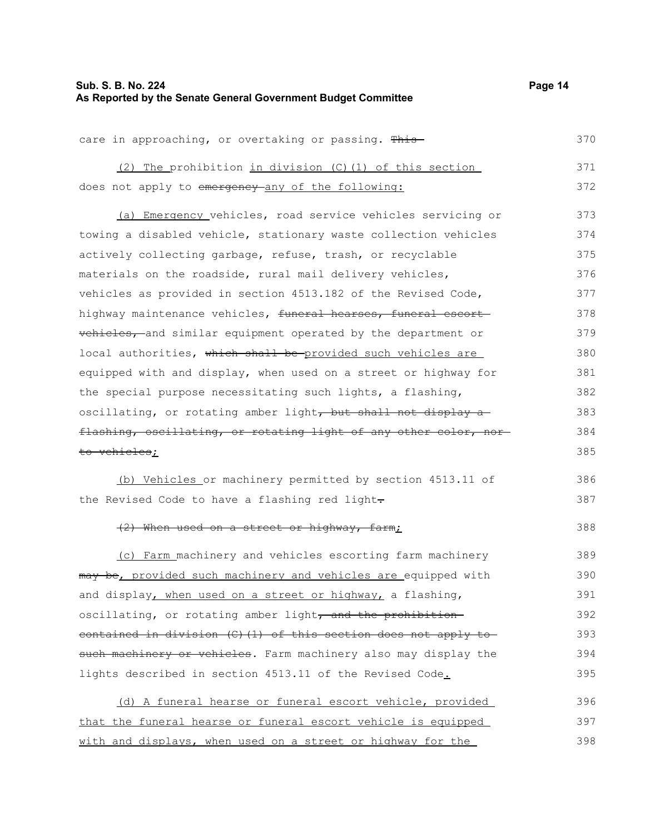# **Sub. S. B. No. 224** Page 14 **As Reported by the Senate General Government Budget Committee**

| care in approaching, or overtaking or passing. This              | 370 |
|------------------------------------------------------------------|-----|
| (2) The prohibition in division (C) (1) of this section          | 371 |
| does not apply to emergency-any of the following:                | 372 |
| (a) Emergency vehicles, road service vehicles servicing or       | 373 |
| towing a disabled vehicle, stationary waste collection vehicles  | 374 |
| actively collecting garbage, refuse, trash, or recyclable        | 375 |
| materials on the roadside, rural mail delivery vehicles,         | 376 |
| vehicles as provided in section 4513.182 of the Revised Code,    | 377 |
| highway maintenance vehicles, funeral hearses, funeral escort    | 378 |
| vehicles, and similar equipment operated by the department or    | 379 |
| local authorities, which shall be provided such vehicles are     | 380 |
| equipped with and display, when used on a street or highway for  | 381 |
| the special purpose necessitating such lights, a flashing,       | 382 |
| oscillating, or rotating amber light, but shall not display a    | 383 |
| flashing, oscillating, or rotating light of any other color, nor | 384 |
| to vehicles;                                                     | 385 |
| (b) Vehicles or machinery permitted by section 4513.11 of        | 386 |
| the Revised Code to have a flashing red light-                   | 387 |
| (2) When used on a street or highway, farm;                      | 388 |
| (c) Farm machinery and vehicles escorting farm machinery         | 389 |
| may be, provided such machinery and vehicles are equipped with   | 390 |
| and display, when used on a street or highway, a flashing,       | 391 |
| oscillating, or rotating amber light, and the prohibition        | 392 |
| contained in division (C) (1) of this section does not apply to  | 393 |
| such machinery or vehicles. Farm machinery also may display the  | 394 |
| lights described in section 4513.11 of the Revised Code.         | 395 |
| (d) A funeral hearse or funeral escort vehicle, provided         | 396 |
| that the funeral hearse or funeral escort vehicle is equipped    | 397 |
| with and displays, when used on a street or highway for the      | 398 |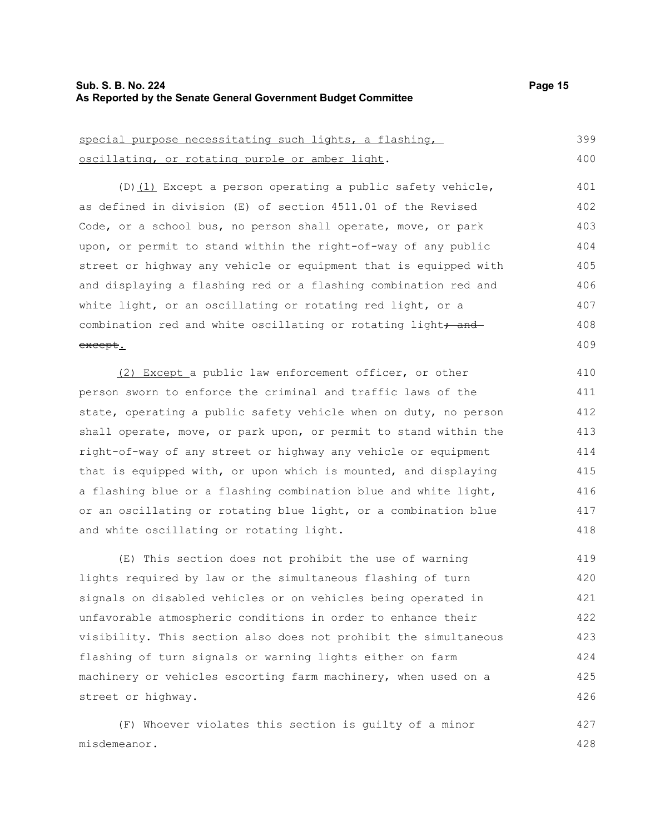## **Sub. S. B. No. 224 Page 15 As Reported by the Senate General Government Budget Committee**

| special purpose necessitating such lights, a flashing,           | 399 |
|------------------------------------------------------------------|-----|
| oscillating, or rotating purple or amber light.                  | 400 |
| $(D)$ (1) Except a person operating a public safety vehicle,     | 401 |
| as defined in division (E) of section 4511.01 of the Revised     | 402 |
| Code, or a school bus, no person shall operate, move, or park    | 403 |
| upon, or permit to stand within the right-of-way of any public   | 404 |
| street or highway any vehicle or equipment that is equipped with | 405 |
| and displaying a flashing red or a flashing combination red and  | 406 |
| white light, or an oscillating or rotating red light, or a       | 407 |
| combination red and white oscillating or rotating light, and     | 408 |
| <del>except</del> .                                              | 409 |

(2) Except a public law enforcement officer, or other person sworn to enforce the criminal and traffic laws of the state, operating a public safety vehicle when on duty, no person shall operate, move, or park upon, or permit to stand within the right-of-way of any street or highway any vehicle or equipment that is equipped with, or upon which is mounted, and displaying a flashing blue or a flashing combination blue and white light, or an oscillating or rotating blue light, or a combination blue and white oscillating or rotating light.

(E) This section does not prohibit the use of warning lights required by law or the simultaneous flashing of turn signals on disabled vehicles or on vehicles being operated in unfavorable atmospheric conditions in order to enhance their visibility. This section also does not prohibit the simultaneous flashing of turn signals or warning lights either on farm machinery or vehicles escorting farm machinery, when used on a street or highway. 419 420 421 422 423 424 425 426

(F) Whoever violates this section is guilty of a minor misdemeanor. 427 428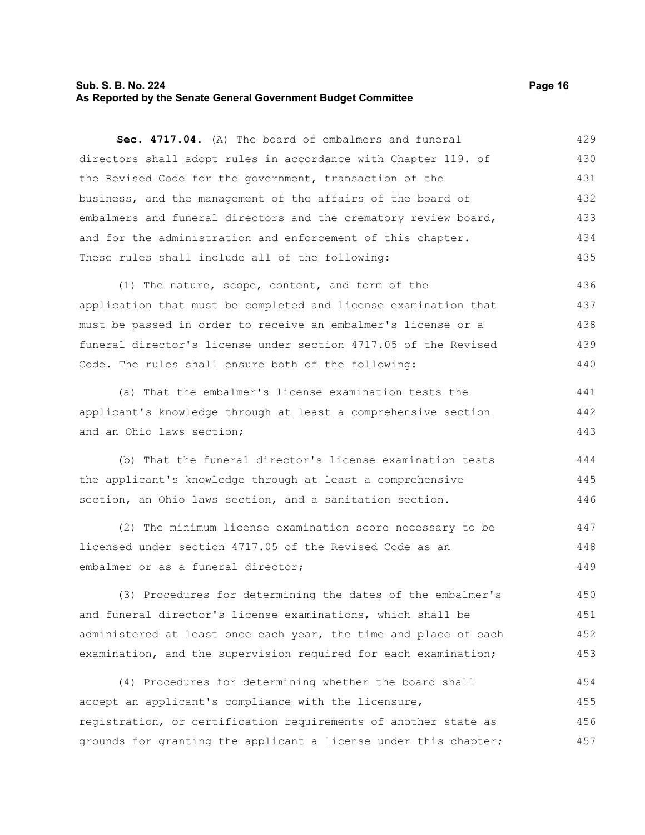# **Sub. S. B. No. 224 Page 16 As Reported by the Senate General Government Budget Committee**

**Sec. 4717.04.** (A) The board of embalmers and funeral directors shall adopt rules in accordance with Chapter 119. of the Revised Code for the government, transaction of the business, and the management of the affairs of the board of embalmers and funeral directors and the crematory review board, and for the administration and enforcement of this chapter. These rules shall include all of the following: 429 430 431 432 433 434 435

(1) The nature, scope, content, and form of the application that must be completed and license examination that must be passed in order to receive an embalmer's license or a funeral director's license under section 4717.05 of the Revised Code. The rules shall ensure both of the following: 436 437 438 439 440

(a) That the embalmer's license examination tests the applicant's knowledge through at least a comprehensive section and an Ohio laws section; 441 442 443

(b) That the funeral director's license examination tests the applicant's knowledge through at least a comprehensive section, an Ohio laws section, and a sanitation section. 444 445 446

(2) The minimum license examination score necessary to be licensed under section 4717.05 of the Revised Code as an embalmer or as a funeral director; 447 448 449

(3) Procedures for determining the dates of the embalmer's and funeral director's license examinations, which shall be administered at least once each year, the time and place of each examination, and the supervision required for each examination; 450 451 452 453

(4) Procedures for determining whether the board shall accept an applicant's compliance with the licensure, registration, or certification requirements of another state as grounds for granting the applicant a license under this chapter; 454 455 456 457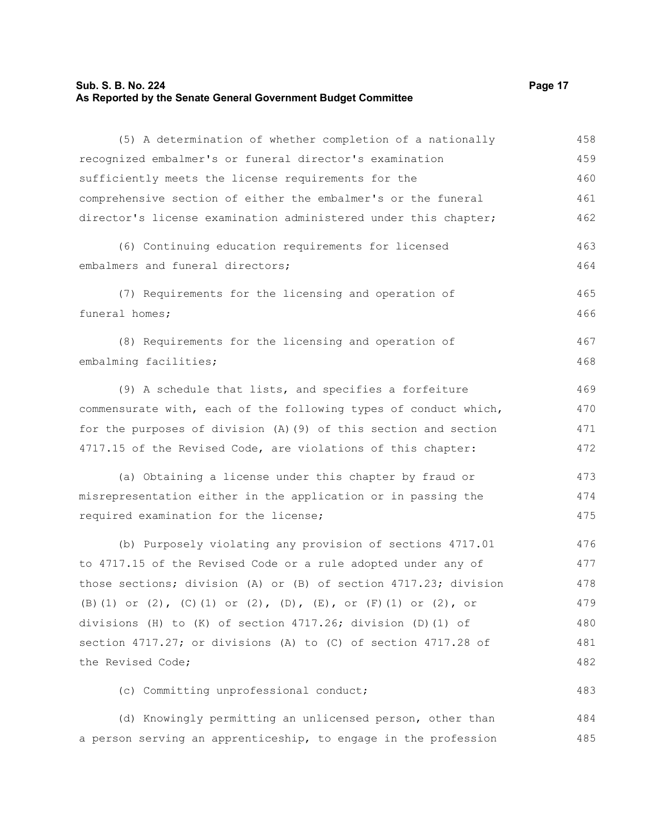# **Sub. S. B. No. 224** Page 17 **As Reported by the Senate General Government Budget Committee**

| (5) A determination of whether completion of a nationally        | 458 |
|------------------------------------------------------------------|-----|
| recognized embalmer's or funeral director's examination          | 459 |
| sufficiently meets the license requirements for the              | 460 |
| comprehensive section of either the embalmer's or the funeral    | 461 |
| director's license examination administered under this chapter;  | 462 |
| (6) Continuing education requirements for licensed               | 463 |
| embalmers and funeral directors;                                 | 464 |
| (7) Requirements for the licensing and operation of              | 465 |
| funeral homes;                                                   | 466 |
| (8) Requirements for the licensing and operation of              | 467 |
| embalming facilities;                                            | 468 |
| (9) A schedule that lists, and specifies a forfeiture            | 469 |
| commensurate with, each of the following types of conduct which, | 470 |
| for the purposes of division (A) (9) of this section and section | 471 |
| 4717.15 of the Revised Code, are violations of this chapter:     | 472 |
| (a) Obtaining a license under this chapter by fraud or           | 473 |
| misrepresentation either in the application or in passing the    | 474 |
| required examination for the license;                            | 475 |
| (b) Purposely violating any provision of sections 4717.01        | 476 |
| to 4717.15 of the Revised Code or a rule adopted under any of    | 477 |
| those sections; division (A) or (B) of section 4717.23; division | 478 |
| (B) (1) or (2), (C) (1) or (2), (D), (E), or (F) (1) or (2), or  | 479 |
| divisions (H) to (K) of section 4717.26; division (D) (1) of     | 480 |
| section 4717.27; or divisions (A) to (C) of section 4717.28 of   | 481 |
| the Revised Code;                                                | 482 |
| (c) Committing unprofessional conduct;                           | 483 |
| (d) Knowingly permitting an unlicensed person, other than        | 484 |
| a person serving an apprenticeship, to engage in the profession  | 485 |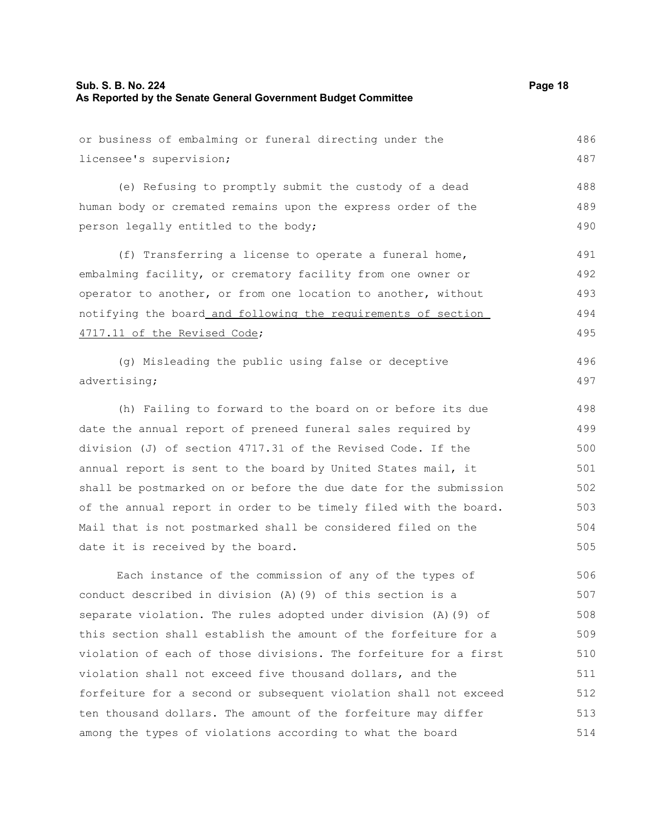or business of embalming or funeral directing under the licensee's supervision; (e) Refusing to promptly submit the custody of a dead human body or cremated remains upon the express order of the person legally entitled to the body; (f) Transferring a license to operate a funeral home, embalming facility, or crematory facility from one owner or operator to another, or from one location to another, without notifying the board and following the requirements of section 4717.11 of the Revised Code; (g) Misleading the public using false or deceptive advertising; (h) Failing to forward to the board on or before its due 486 487 488 489 490 491 492 493 494 495 496 497 498

date the annual report of preneed funeral sales required by division (J) of section 4717.31 of the Revised Code. If the annual report is sent to the board by United States mail, it shall be postmarked on or before the due date for the submission of the annual report in order to be timely filed with the board. Mail that is not postmarked shall be considered filed on the date it is received by the board. 499 500 501 502 503 504 505

Each instance of the commission of any of the types of conduct described in division (A)(9) of this section is a separate violation. The rules adopted under division (A)(9) of this section shall establish the amount of the forfeiture for a violation of each of those divisions. The forfeiture for a first violation shall not exceed five thousand dollars, and the forfeiture for a second or subsequent violation shall not exceed ten thousand dollars. The amount of the forfeiture may differ among the types of violations according to what the board 506 507 508 509 510 511 512 513 514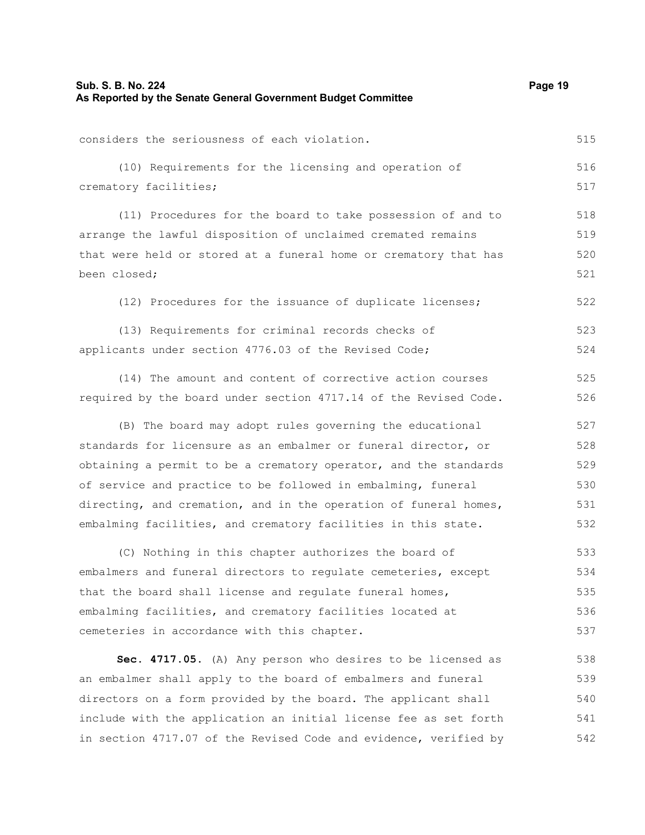| Sub. S. B. No. 224<br>As Reported by the Senate General Government Budget Committee |     |
|-------------------------------------------------------------------------------------|-----|
| considers the seriousness of each violation.                                        | 515 |
| (10) Requirements for the licensing and operation of                                | 516 |
| crematory facilities;                                                               | 517 |
| (11) Procedures for the board to take possession of and to                          | 518 |
| arrange the lawful disposition of unclaimed cremated remains                        | 519 |
| that were held or stored at a funeral home or crematory that has                    | 520 |
| been closed;                                                                        | 521 |
| (12) Procedures for the issuance of duplicate licenses;                             | 522 |
| (13) Requirements for criminal records checks of                                    | 523 |
| applicants under section 4776.03 of the Revised Code;                               | 524 |
| (14) The amount and content of corrective action courses                            | 525 |
| required by the board under section 4717.14 of the Revised Code.                    | 526 |
| (B) The board may adopt rules governing the educational                             | 527 |
| standards for licensure as an embalmer or funeral director, or                      | 528 |
| obtaining a permit to be a crematory operator, and the standards                    | 529 |
| of service and practice to be followed in embalming, funeral                        | 530 |
| directing, and cremation, and in the operation of funeral homes,                    | 531 |
| embalming facilities, and crematory facilities in this state.                       | 532 |
| (C) Nothing in this chapter authorizes the board of                                 | 533 |
| embalmers and funeral directors to regulate cemeteries, except                      | 534 |
| that the board shall license and regulate funeral homes,                            | 535 |
| embalming facilities, and crematory facilities located at                           | 536 |
| cemeteries in accordance with this chapter.                                         | 537 |
| Sec. 4717.05. (A) Any person who desires to be licensed as                          | 538 |
| an embalmer shall apply to the board of embalmers and funeral                       | 539 |
| directors on a form provided by the board. The applicant shall                      | 540 |
| inallowed                                                                           | 511 |

include with the application an initial license fee as set forth in section 4717.07 of the Revised Code and evidence, verified by 541 542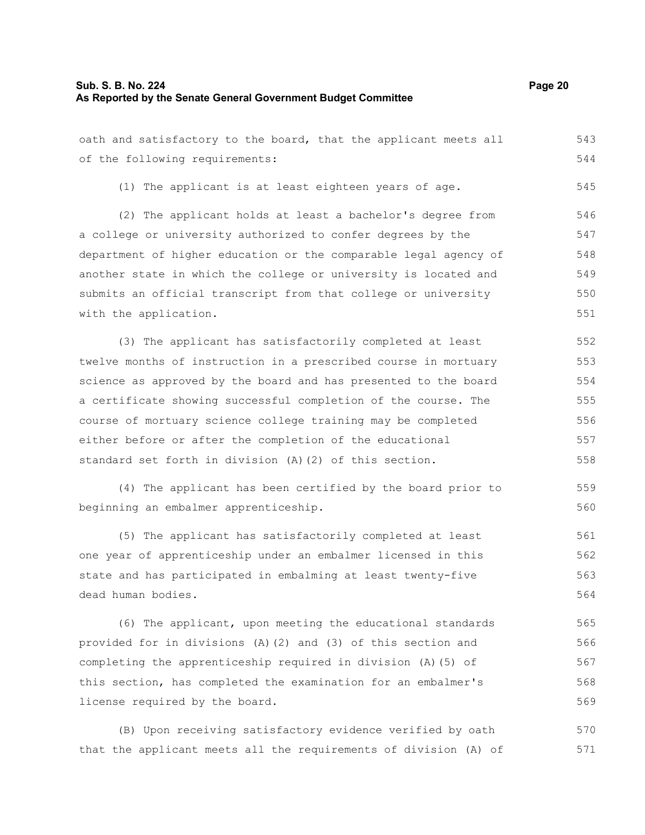oath and satisfactory to the board, that the applicant meets all of the following requirements: (1) The applicant is at least eighteen years of age. (2) The applicant holds at least a bachelor's degree from a college or university authorized to confer degrees by the department of higher education or the comparable legal agency of another state in which the college or university is located and submits an official transcript from that college or university with the application. (3) The applicant has satisfactorily completed at least twelve months of instruction in a prescribed course in mortuary science as approved by the board and has presented to the board a certificate showing successful completion of the course. The 543 544 545 546 547 548 549 550 551 552 553 554 555

course of mortuary science college training may be completed either before or after the completion of the educational standard set forth in division (A)(2) of this section. 556 557 558

(4) The applicant has been certified by the board prior to beginning an embalmer apprenticeship. 559 560

(5) The applicant has satisfactorily completed at least one year of apprenticeship under an embalmer licensed in this state and has participated in embalming at least twenty-five dead human bodies. 561 562 563 564

(6) The applicant, upon meeting the educational standards provided for in divisions (A)(2) and (3) of this section and completing the apprenticeship required in division (A)(5) of this section, has completed the examination for an embalmer's license required by the board. 565 566 567 568 569

(B) Upon receiving satisfactory evidence verified by oath that the applicant meets all the requirements of division (A) of 570 571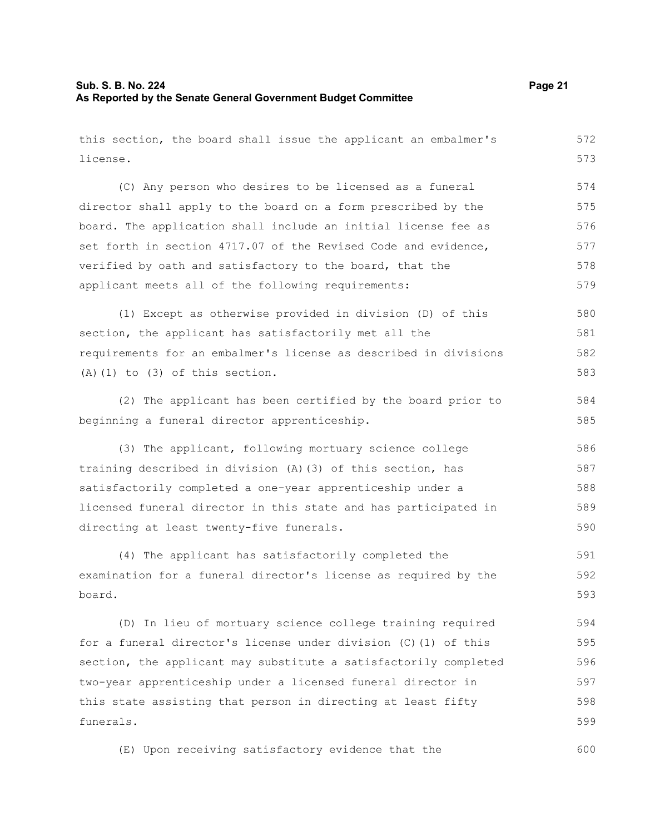# **Sub. S. B. No. 224** Page 21 **As Reported by the Senate General Government Budget Committee**

| this section, the board shall issue the applicant an embalmer's  | 572 |
|------------------------------------------------------------------|-----|
| license.                                                         | 573 |
| (C) Any person who desires to be licensed as a funeral           | 574 |
| director shall apply to the board on a form prescribed by the    | 575 |
| board. The application shall include an initial license fee as   | 576 |
| set forth in section 4717.07 of the Revised Code and evidence,   | 577 |
| verified by oath and satisfactory to the board, that the         | 578 |
| applicant meets all of the following requirements:               | 579 |
| (1) Except as otherwise provided in division (D) of this         | 580 |
| section, the applicant has satisfactorily met all the            | 581 |
| requirements for an embalmer's license as described in divisions | 582 |
| $(A)$ $(1)$ to $(3)$ of this section.                            | 583 |
| (2) The applicant has been certified by the board prior to       | 584 |
| beginning a funeral director apprenticeship.                     | 585 |
| (3) The applicant, following mortuary science college            | 586 |
| training described in division (A) (3) of this section, has      | 587 |
| satisfactorily completed a one-year apprenticeship under a       | 588 |
| licensed funeral director in this state and has participated in  | 589 |
| directing at least twenty-five funerals.                         | 590 |
| (4) The applicant has satisfactorily completed the               | 591 |
| examination for a funeral director's license as required by the  | 592 |
| board.                                                           | 593 |
| (D) In lieu of mortuary science college training required        | 594 |
| for a funeral director's license under division (C)(1) of this   | 595 |
| section, the applicant may substitute a satisfactorily completed | 596 |
| two-year apprenticeship under a licensed funeral director in     | 597 |
| this state assisting that person in directing at least fifty     | 598 |
| funerals.                                                        | 599 |
| (E) Upon receiving satisfactory evidence that the                | 600 |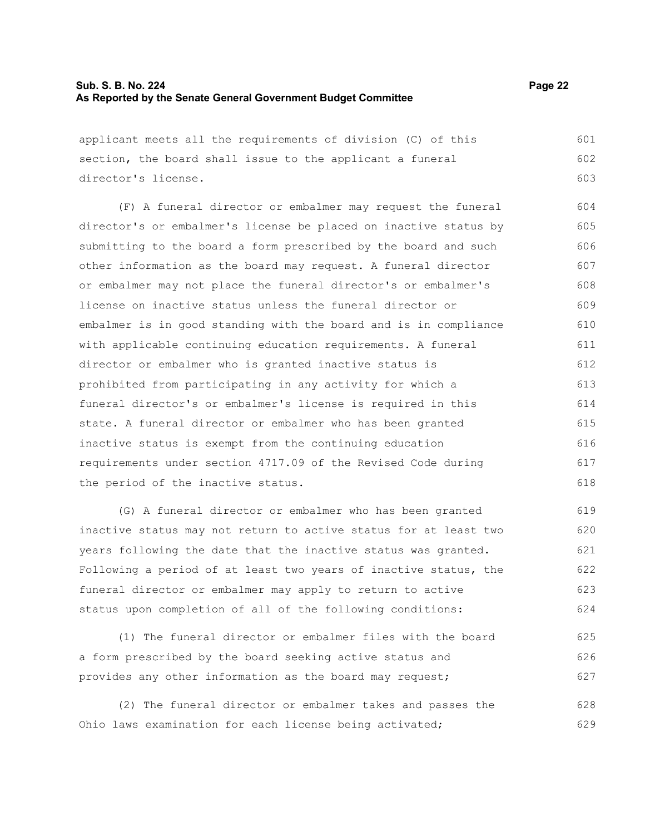## **Sub. S. B. No. 224 Page 22 As Reported by the Senate General Government Budget Committee**

applicant meets all the requirements of division (C) of this section, the board shall issue to the applicant a funeral director's license. 601 602 603

(F) A funeral director or embalmer may request the funeral director's or embalmer's license be placed on inactive status by submitting to the board a form prescribed by the board and such other information as the board may request. A funeral director or embalmer may not place the funeral director's or embalmer's license on inactive status unless the funeral director or embalmer is in good standing with the board and is in compliance with applicable continuing education requirements. A funeral director or embalmer who is granted inactive status is prohibited from participating in any activity for which a funeral director's or embalmer's license is required in this state. A funeral director or embalmer who has been granted inactive status is exempt from the continuing education requirements under section 4717.09 of the Revised Code during the period of the inactive status. 604 605 606 607 608 609 610 611 612 613 614 615 616 617 618

(G) A funeral director or embalmer who has been granted inactive status may not return to active status for at least two years following the date that the inactive status was granted. Following a period of at least two years of inactive status, the funeral director or embalmer may apply to return to active status upon completion of all of the following conditions: 619 620 621 622 623 624

(1) The funeral director or embalmer files with the board a form prescribed by the board seeking active status and provides any other information as the board may request; 625 626 627

(2) The funeral director or embalmer takes and passes the Ohio laws examination for each license being activated; 628 629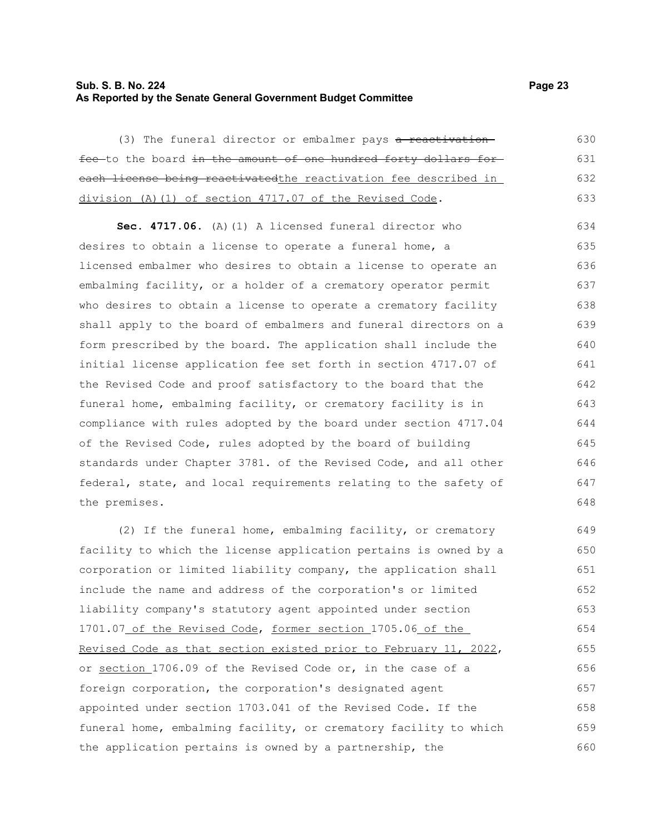# **Sub. S. B. No. 224 Page 23 As Reported by the Senate General Government Budget Committee**

(3) The funeral director or embalmer pays a reactivationfee-to the board in the amount of one hundred forty dollars foreach license being reactivatedthe reactivation fee described in division (A)(1) of section 4717.07 of the Revised Code. 630 631 632 633

**Sec. 4717.06.** (A)(1) A licensed funeral director who desires to obtain a license to operate a funeral home, a licensed embalmer who desires to obtain a license to operate an embalming facility, or a holder of a crematory operator permit who desires to obtain a license to operate a crematory facility shall apply to the board of embalmers and funeral directors on a form prescribed by the board. The application shall include the initial license application fee set forth in section 4717.07 of the Revised Code and proof satisfactory to the board that the funeral home, embalming facility, or crematory facility is in compliance with rules adopted by the board under section 4717.04 of the Revised Code, rules adopted by the board of building standards under Chapter 3781. of the Revised Code, and all other federal, state, and local requirements relating to the safety of the premises. 634 635 636 637 638 639 640 641 642 643 644 645 646 647 648

(2) If the funeral home, embalming facility, or crematory facility to which the license application pertains is owned by a corporation or limited liability company, the application shall include the name and address of the corporation's or limited liability company's statutory agent appointed under section 1701.07 of the Revised Code, former section 1705.06 of the Revised Code as that section existed prior to February 11, 2022, or section 1706.09 of the Revised Code or, in the case of a foreign corporation, the corporation's designated agent appointed under section 1703.041 of the Revised Code. If the funeral home, embalming facility, or crematory facility to which the application pertains is owned by a partnership, the 649 650 651 652 653 654 655 656 657 658 659 660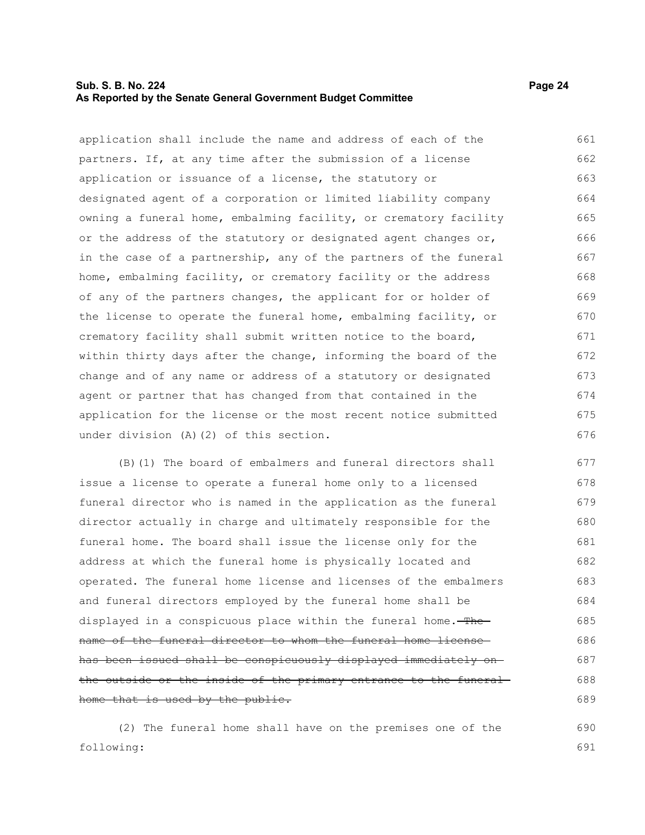# **Sub. S. B. No. 224 Page 24 As Reported by the Senate General Government Budget Committee**

application shall include the name and address of each of the partners. If, at any time after the submission of a license application or issuance of a license, the statutory or designated agent of a corporation or limited liability company owning a funeral home, embalming facility, or crematory facility or the address of the statutory or designated agent changes or, in the case of a partnership, any of the partners of the funeral home, embalming facility, or crematory facility or the address of any of the partners changes, the applicant for or holder of the license to operate the funeral home, embalming facility, or crematory facility shall submit written notice to the board, within thirty days after the change, informing the board of the change and of any name or address of a statutory or designated agent or partner that has changed from that contained in the application for the license or the most recent notice submitted under division (A)(2) of this section. 661 662 663 664 665 666 667 668 669 670 671 672 673 674 675 676

(B)(1) The board of embalmers and funeral directors shall issue a license to operate a funeral home only to a licensed funeral director who is named in the application as the funeral director actually in charge and ultimately responsible for the funeral home. The board shall issue the license only for the address at which the funeral home is physically located and operated. The funeral home license and licenses of the embalmers and funeral directors employed by the funeral home shall be displayed in a conspicuous place within the funeral home. The name of the funeral director to whom the funeral home license has been issued shall be conspicuously displayed immediately on the outside or the inside of the primary entrance to the funeral home that is used by the public. 677 678 679 680 681 682 683 684 685 686 687 688 689

(2) The funeral home shall have on the premises one of the following: 690 691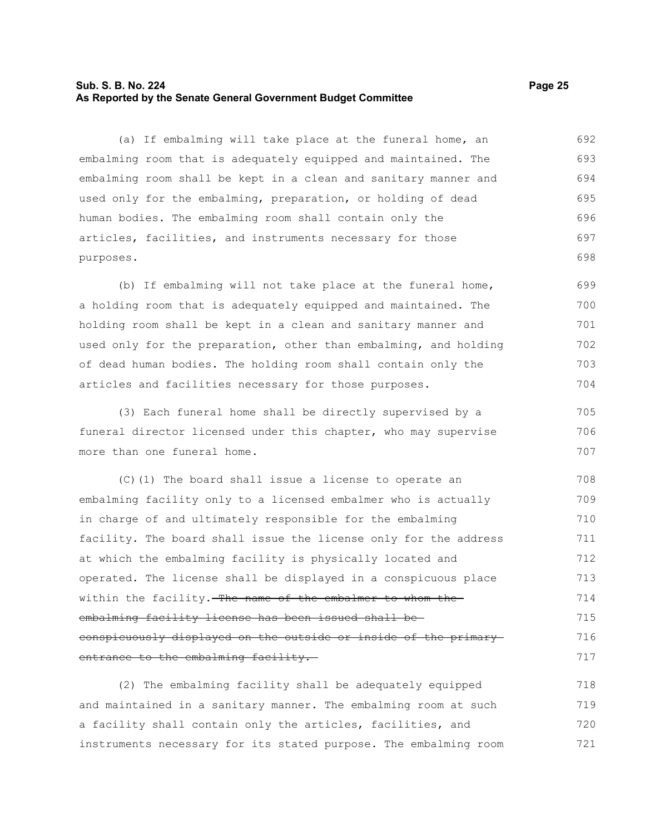# **Sub. S. B. No. 224 Page 25 As Reported by the Senate General Government Budget Committee**

(a) If embalming will take place at the funeral home, an embalming room that is adequately equipped and maintained. The embalming room shall be kept in a clean and sanitary manner and used only for the embalming, preparation, or holding of dead human bodies. The embalming room shall contain only the articles, facilities, and instruments necessary for those purposes. 692 693 694 695 696 697 698

(b) If embalming will not take place at the funeral home, a holding room that is adequately equipped and maintained. The holding room shall be kept in a clean and sanitary manner and used only for the preparation, other than embalming, and holding of dead human bodies. The holding room shall contain only the articles and facilities necessary for those purposes. 699 700 701 702 703 704

(3) Each funeral home shall be directly supervised by a funeral director licensed under this chapter, who may supervise more than one funeral home. 705 706 707

(C)(1) The board shall issue a license to operate an embalming facility only to a licensed embalmer who is actually in charge of and ultimately responsible for the embalming facility. The board shall issue the license only for the address at which the embalming facility is physically located and operated. The license shall be displayed in a conspicuous place within the facility. The name of the embalmer to whom the embalming facility license has been issued shall be conspicuously displayed on the outside or inside of the primary entrance to the embalming facility. 708 709 710 711 712 713 714 715 716 717

(2) The embalming facility shall be adequately equipped and maintained in a sanitary manner. The embalming room at such a facility shall contain only the articles, facilities, and instruments necessary for its stated purpose. The embalming room 718 719 720 721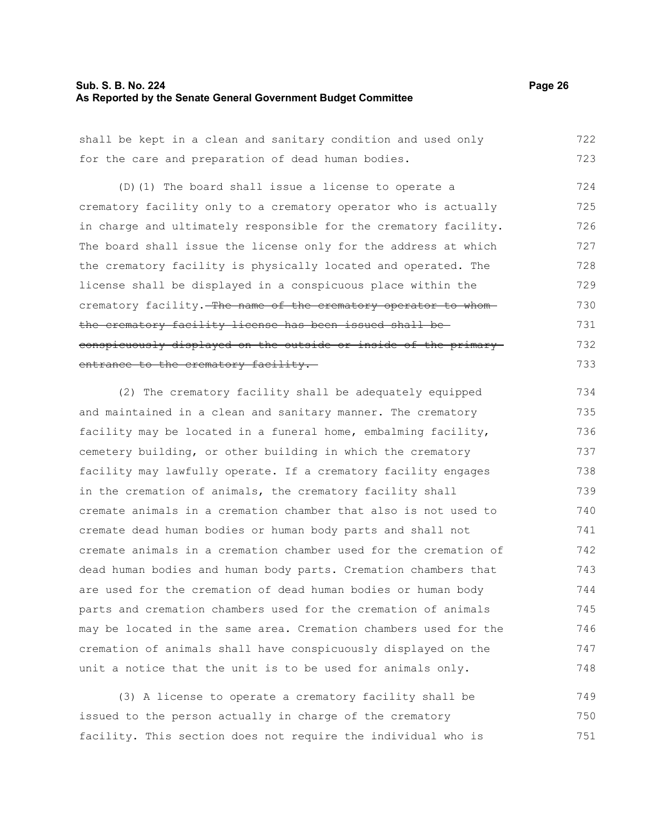# **Sub. S. B. No. 224** Page 26 **As Reported by the Senate General Government Budget Committee**

| shall be kept in a clean and sanitary condition and used only    | 722 |
|------------------------------------------------------------------|-----|
| for the care and preparation of dead human bodies.               | 723 |
| (D) (1) The board shall issue a license to operate a             | 724 |
| crematory facility only to a crematory operator who is actually  | 725 |
| in charge and ultimately responsible for the crematory facility. | 726 |
| The board shall issue the license only for the address at which  | 727 |
| the crematory facility is physically located and operated. The   | 728 |
| license shall be displayed in a conspicuous place within the     | 729 |
| crematory facility. The name of the crematory operator to whom-  | 730 |
| the crematory facility license has been issued shall be-         | 731 |
|                                                                  |     |
| conspicuously displayed on the outside or inside of the primary- | 732 |
| entrance to the crematory facility.                              | 733 |
| (2) The crematory facility shall be adequately equipped          | 734 |
| and maintained in a clean and sanitary manner. The crematory     | 735 |
| facility may be located in a funeral home, embalming facility,   | 736 |
| cemetery building, or other building in which the crematory      | 737 |
| facility may lawfully operate. If a crematory facility engages   | 738 |
| in the cremation of animals, the crematory facility shall        | 739 |
| cremate animals in a cremation chamber that also is not used to  | 740 |
| cremate dead human bodies or human body parts and shall not      | 741 |
| cremate animals in a cremation chamber used for the cremation of | 742 |
| dead human bodies and human body parts. Cremation chambers that  | 743 |
| are used for the cremation of dead human bodies or human body    | 744 |
| parts and cremation chambers used for the cremation of animals   | 745 |
| may be located in the same area. Cremation chambers used for the | 746 |
| cremation of animals shall have conspicuously displayed on the   | 747 |
| unit a notice that the unit is to be used for animals only.      | 748 |
|                                                                  | 749 |
| (3) A license to operate a crematory facility shall be           |     |

issued to the person actually in charge of the crematory facility. This section does not require the individual who is 750 751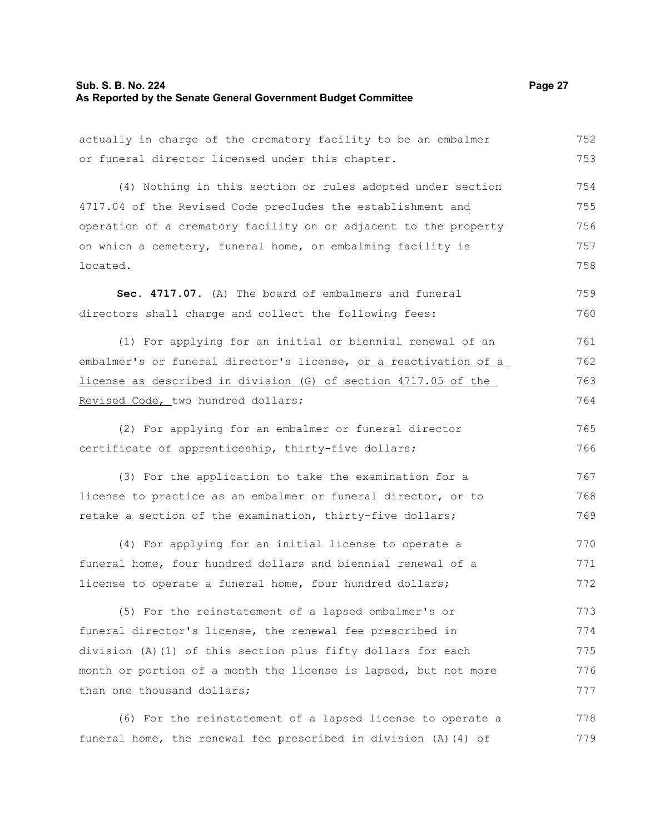# **Sub. S. B. No. 224** Page 27 **As Reported by the Senate General Government Budget Committee**

| actually in charge of the crematory facility to be an embalmer   | 752 |
|------------------------------------------------------------------|-----|
| or funeral director licensed under this chapter.                 | 753 |
|                                                                  |     |
| (4) Nothing in this section or rules adopted under section       | 754 |
| 4717.04 of the Revised Code precludes the establishment and      | 755 |
| operation of a crematory facility on or adjacent to the property | 756 |
| on which a cemetery, funeral home, or embalming facility is      | 757 |
| located.                                                         | 758 |
| Sec. 4717.07. (A) The board of embalmers and funeral             | 759 |
| directors shall charge and collect the following fees:           | 760 |
| (1) For applying for an initial or biennial renewal of an        | 761 |
| embalmer's or funeral director's license, or a reactivation of a | 762 |
| license as described in division (G) of section 4717.05 of the   | 763 |
| Revised Code, two hundred dollars;                               | 764 |
| (2) For applying for an embalmer or funeral director             | 765 |
| certificate of apprenticeship, thirty-five dollars;              | 766 |
|                                                                  |     |
| (3) For the application to take the examination for a            | 767 |
| license to practice as an embalmer or funeral director, or to    | 768 |
| retake a section of the examination, thirty-five dollars;        | 769 |
| (4) For applying for an initial license to operate a             | 770 |
| funeral home, four hundred dollars and biennial renewal of a     | 771 |
| license to operate a funeral home, four hundred dollars;         | 772 |
| (5) For the reinstatement of a lapsed embalmer's or              | 773 |
| funeral director's license, the renewal fee prescribed in        | 774 |
| division (A)(1) of this section plus fifty dollars for each      | 775 |
| month or portion of a month the license is lapsed, but not more  | 776 |
| than one thousand dollars;                                       | 777 |
|                                                                  |     |
| (6) For the reinstatement of a lapsed license to operate a       | 778 |
| funeral home, the renewal fee prescribed in division (A) (4) of  | 779 |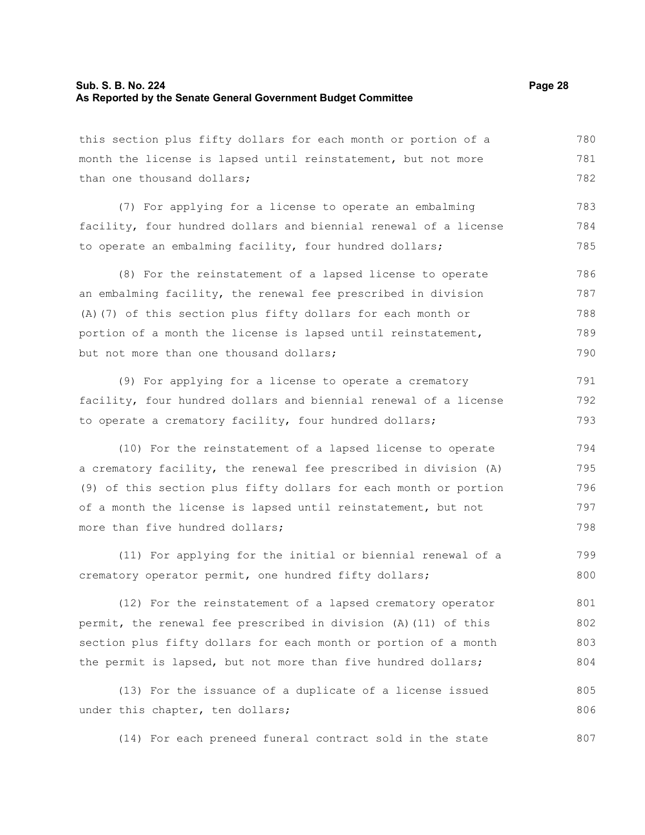#### **Sub. S. B. No. 224 Page 28 As Reported by the Senate General Government Budget Committee**

this section plus fifty dollars for each month or portion of a month the license is lapsed until reinstatement, but not more than one thousand dollars; 780 781 782

(7) For applying for a license to operate an embalming facility, four hundred dollars and biennial renewal of a license to operate an embalming facility, four hundred dollars; 783 784 785

(8) For the reinstatement of a lapsed license to operate an embalming facility, the renewal fee prescribed in division (A)(7) of this section plus fifty dollars for each month or portion of a month the license is lapsed until reinstatement, but not more than one thousand dollars; 786 787 788 789 790

(9) For applying for a license to operate a crematory facility, four hundred dollars and biennial renewal of a license to operate a crematory facility, four hundred dollars;

(10) For the reinstatement of a lapsed license to operate a crematory facility, the renewal fee prescribed in division (A) (9) of this section plus fifty dollars for each month or portion of a month the license is lapsed until reinstatement, but not more than five hundred dollars; 794 795 796 797 798

(11) For applying for the initial or biennial renewal of a crematory operator permit, one hundred fifty dollars; 799 800

(12) For the reinstatement of a lapsed crematory operator permit, the renewal fee prescribed in division (A)(11) of this section plus fifty dollars for each month or portion of a month the permit is lapsed, but not more than five hundred dollars; 801 802 803 804

(13) For the issuance of a duplicate of a license issued under this chapter, ten dollars; 805 806

(14) For each preneed funeral contract sold in the state 807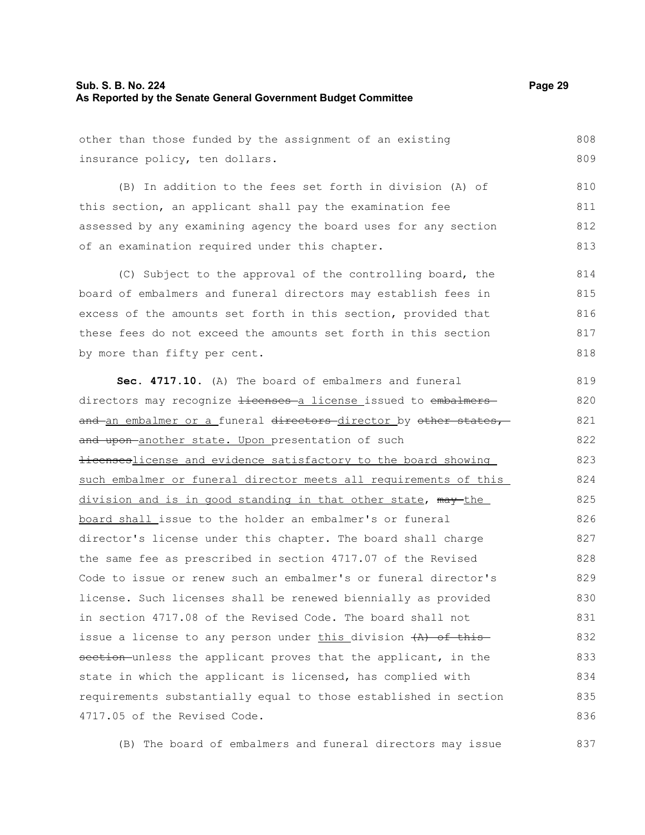## **Sub. S. B. No. 224 Page 29 As Reported by the Senate General Government Budget Committee**

other than those funded by the assignment of an existing insurance policy, ten dollars. 808 809

(B) In addition to the fees set forth in division (A) of this section, an applicant shall pay the examination fee assessed by any examining agency the board uses for any section of an examination required under this chapter. 810 811 812 813

(C) Subject to the approval of the controlling board, the board of embalmers and funeral directors may establish fees in excess of the amounts set forth in this section, provided that these fees do not exceed the amounts set forth in this section by more than fifty per cent. 814 815 816 817 818

**Sec. 4717.10.** (A) The board of embalmers and funeral directors may recognize <del>licenses a</del> license issued to embalmers and an embalmer or a funeral directors director by other states, and upon-another state. Upon presentation of such **licenseslicense and evidence satisfactory to the board showing** such embalmer or funeral director meets all requirements of this division and is in good standing in that other state, may the board shall issue to the holder an embalmer's or funeral director's license under this chapter. The board shall charge the same fee as prescribed in section 4717.07 of the Revised Code to issue or renew such an embalmer's or funeral director's license. Such licenses shall be renewed biennially as provided in section 4717.08 of the Revised Code. The board shall not issue a license to any person under this division  $(A)$  of this section unless the applicant proves that the applicant, in the state in which the applicant is licensed, has complied with requirements substantially equal to those established in section 4717.05 of the Revised Code. 819 820 821 822 823 824 825 826 827 828 829 830 831 832 833 834 835 836

(B) The board of embalmers and funeral directors may issue 837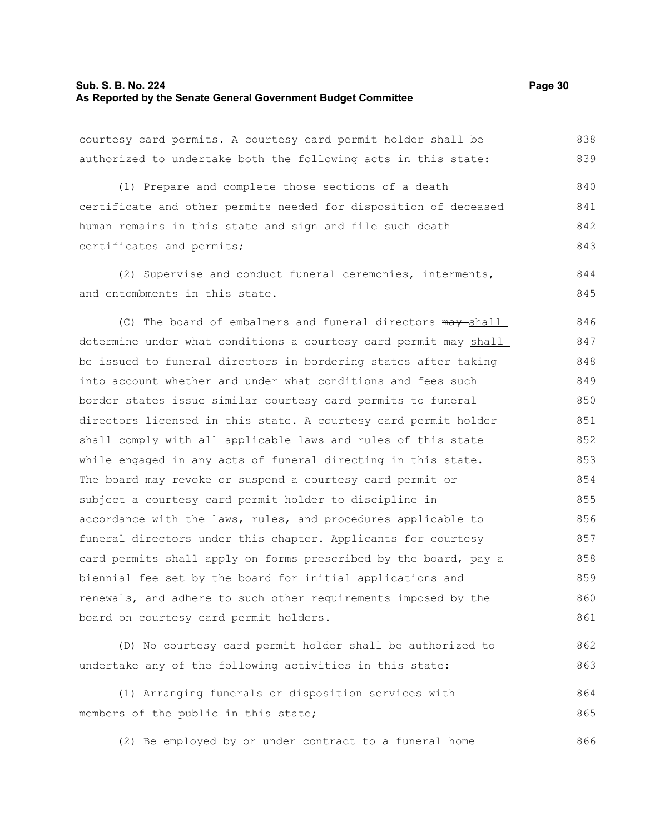#### **Sub. S. B. No. 224 Page 30 As Reported by the Senate General Government Budget Committee**

courtesy card permits. A courtesy card permit holder shall be authorized to undertake both the following acts in this state: 838 839

(1) Prepare and complete those sections of a death certificate and other permits needed for disposition of deceased human remains in this state and sign and file such death certificates and permits; 840 841 842 843

(2) Supervise and conduct funeral ceremonies, interments, and entombments in this state. 844 845

(C) The board of embalmers and funeral directors  $\frac{may-shell}{}$ determine under what conditions a courtesy card permit  $m$ ay shall be issued to funeral directors in bordering states after taking into account whether and under what conditions and fees such border states issue similar courtesy card permits to funeral directors licensed in this state. A courtesy card permit holder shall comply with all applicable laws and rules of this state while engaged in any acts of funeral directing in this state. The board may revoke or suspend a courtesy card permit or subject a courtesy card permit holder to discipline in accordance with the laws, rules, and procedures applicable to funeral directors under this chapter. Applicants for courtesy card permits shall apply on forms prescribed by the board, pay a biennial fee set by the board for initial applications and renewals, and adhere to such other requirements imposed by the board on courtesy card permit holders. 846 847 848 849 850 851 852 853 854 855 856 857 858 859 860 861

(D) No courtesy card permit holder shall be authorized to undertake any of the following activities in this state: 862 863

(1) Arranging funerals or disposition services with members of the public in this state; 864 865

(2) Be employed by or under contract to a funeral home 866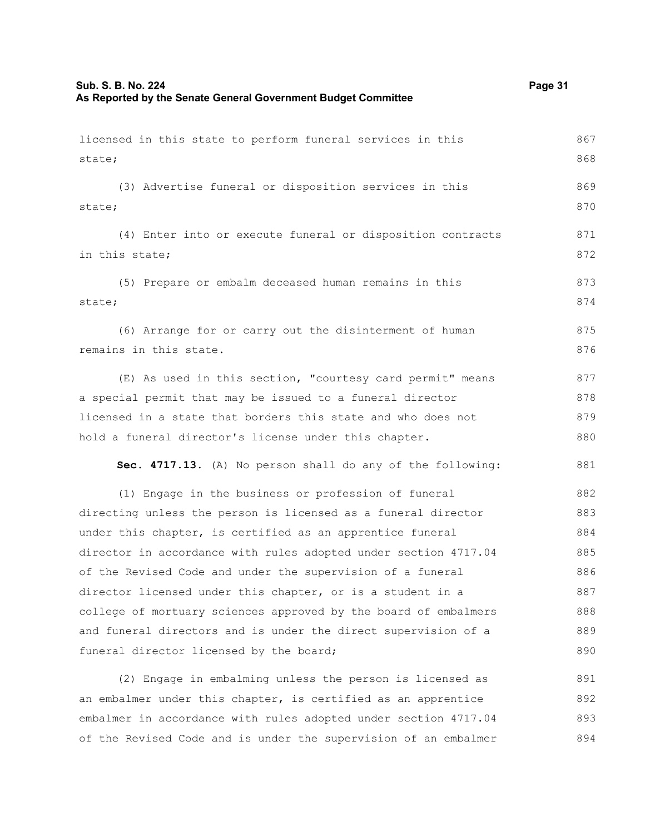| licensed in this state to perform funeral services in this      | 867 |
|-----------------------------------------------------------------|-----|
| state;                                                          | 868 |
| (3) Advertise funeral or disposition services in this           | 869 |
| state;                                                          | 870 |
| (4) Enter into or execute funeral or disposition contracts      | 871 |
| in this state;                                                  | 872 |
| (5) Prepare or embalm deceased human remains in this            | 873 |
| state;                                                          | 874 |
|                                                                 |     |
| (6) Arrange for or carry out the disinterment of human          | 875 |
| remains in this state.                                          | 876 |
| (E) As used in this section, "courtesy card permit" means       | 877 |
| a special permit that may be issued to a funeral director       | 878 |
| licensed in a state that borders this state and who does not    | 879 |
| hold a funeral director's license under this chapter.           | 880 |
| Sec. 4717.13. (A) No person shall do any of the following:      | 881 |
| (1) Engage in the business or profession of funeral             | 882 |
| directing unless the person is licensed as a funeral director   | 883 |
| under this chapter, is certified as an apprentice funeral       | 884 |
| director in accordance with rules adopted under section 4717.04 | 885 |
| of the Revised Code and under the supervision of a funeral      | 886 |
| director licensed under this chapter, or is a student in a      | 887 |
| college of mortuary sciences approved by the board of embalmers | 888 |
| and funeral directors and is under the direct supervision of a  | 889 |
| funeral director licensed by the board;                         | 890 |
| (2) Engage in embalming unless the person is licensed as        | 891 |
| an embalmer under this chapter, is certified as an apprentice   | 892 |
| embalmer in accordance with rules adopted under section 4717.04 | 893 |

of the Revised Code and is under the supervision of an embalmer 893 894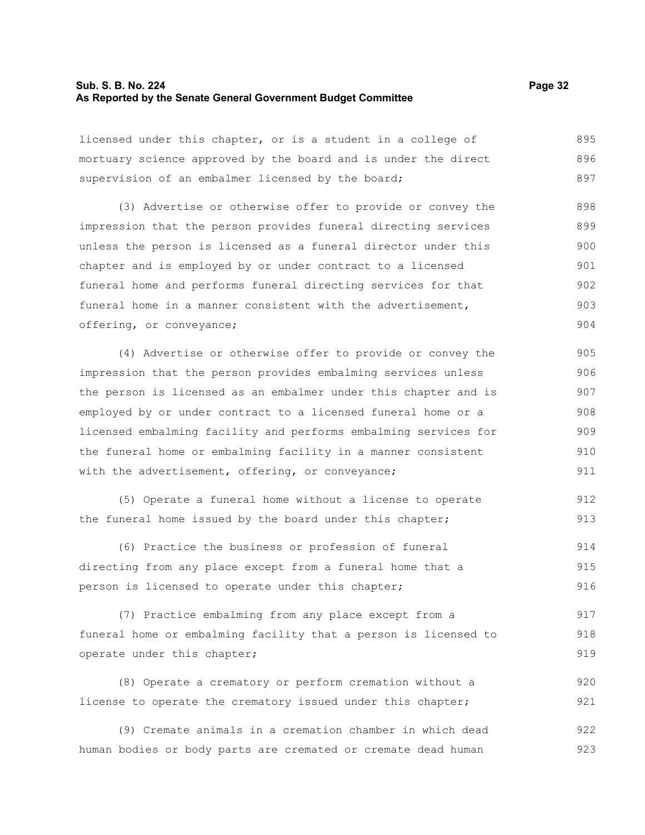#### **Sub. S. B. No. 224 Page 32 As Reported by the Senate General Government Budget Committee**

licensed under this chapter, or is a student in a college of mortuary science approved by the board and is under the direct supervision of an embalmer licensed by the board; 895 896 897

(3) Advertise or otherwise offer to provide or convey the impression that the person provides funeral directing services unless the person is licensed as a funeral director under this chapter and is employed by or under contract to a licensed funeral home and performs funeral directing services for that funeral home in a manner consistent with the advertisement, offering, or conveyance; 898 899 900 901 902 903 904

(4) Advertise or otherwise offer to provide or convey the impression that the person provides embalming services unless the person is licensed as an embalmer under this chapter and is employed by or under contract to a licensed funeral home or a licensed embalming facility and performs embalming services for the funeral home or embalming facility in a manner consistent with the advertisement, offering, or conveyance; 905 906 907 908 909 910 911

(5) Operate a funeral home without a license to operate the funeral home issued by the board under this chapter; 912 913

(6) Practice the business or profession of funeral directing from any place except from a funeral home that a person is licensed to operate under this chapter; 914 915 916

(7) Practice embalming from any place except from a funeral home or embalming facility that a person is licensed to operate under this chapter; 917 918 919

(8) Operate a crematory or perform cremation without a license to operate the crematory issued under this chapter; 920 921

(9) Cremate animals in a cremation chamber in which dead human bodies or body parts are cremated or cremate dead human 922 923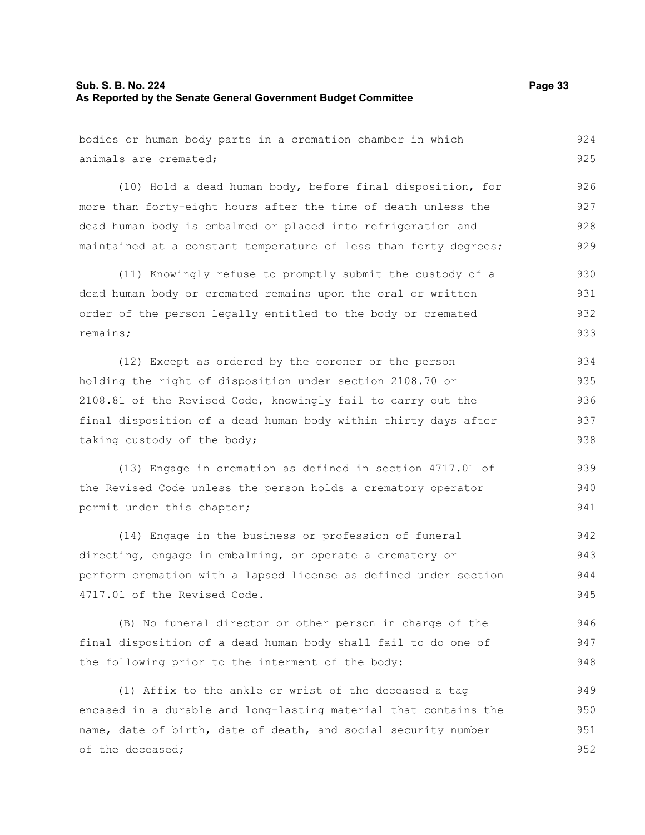# **Sub. S. B. No. 224** Page 33 **As Reported by the Senate General Government Budget Committee**

951 952

| bodies or human body parts in a cremation chamber in which       | 924 |
|------------------------------------------------------------------|-----|
| animals are cremated;                                            | 925 |
| (10) Hold a dead human body, before final disposition, for       | 926 |
| more than forty-eight hours after the time of death unless the   | 927 |
| dead human body is embalmed or placed into refrigeration and     | 928 |
| maintained at a constant temperature of less than forty degrees; | 929 |
| (11) Knowingly refuse to promptly submit the custody of a        | 930 |
| dead human body or cremated remains upon the oral or written     | 931 |
| order of the person legally entitled to the body or cremated     | 932 |
| remains;                                                         | 933 |
| (12) Except as ordered by the coroner or the person              | 934 |
| holding the right of disposition under section 2108.70 or        | 935 |
| 2108.81 of the Revised Code, knowingly fail to carry out the     | 936 |
| final disposition of a dead human body within thirty days after  | 937 |
| taking custody of the body;                                      | 938 |
| (13) Engage in cremation as defined in section 4717.01 of        | 939 |
| the Revised Code unless the person holds a crematory operator    | 940 |
| permit under this chapter;                                       | 941 |
| (14) Engage in the business or profession of funeral             | 942 |
| directing, engage in embalming, or operate a crematory or        | 943 |
| perform cremation with a lapsed license as defined under section | 944 |
| 4717.01 of the Revised Code.                                     | 945 |
| (B) No funeral director or other person in charge of the         | 946 |
| final disposition of a dead human body shall fail to do one of   | 947 |
| the following prior to the interment of the body:                | 948 |
| (1) Affix to the ankle or wrist of the deceased a tag            | 949 |
| encased in a durable and long-lasting material that contains the | 950 |

name, date of birth, date of death, and social security number

of the deceased;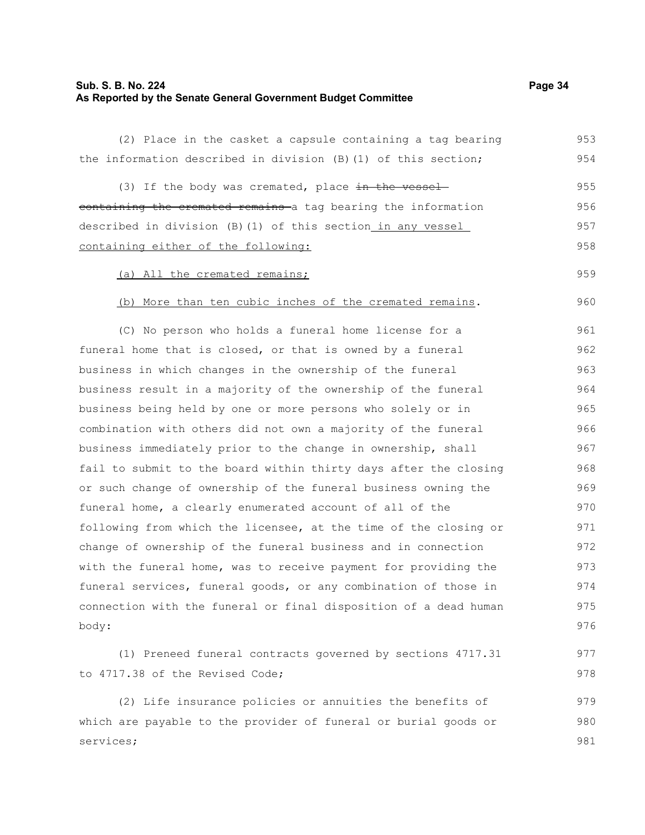## **Sub. S. B. No. 224 Page 34 As Reported by the Senate General Government Budget Committee**

(2) Place in the casket a capsule containing a tag bearing the information described in division (B)(1) of this section; (3) If the body was cremated, place  $\frac{1}{2}$  the vesselcontaining the cremated remains a tag bearing the information described in division (B)(1) of this section in any vessel containing either of the following: (a) All the cremated remains; (b) More than ten cubic inches of the cremated remains. (C) No person who holds a funeral home license for a funeral home that is closed, or that is owned by a funeral business in which changes in the ownership of the funeral business result in a majority of the ownership of the funeral business being held by one or more persons who solely or in combination with others did not own a majority of the funeral business immediately prior to the change in ownership, shall fail to submit to the board within thirty days after the closing or such change of ownership of the funeral business owning the funeral home, a clearly enumerated account of all of the following from which the licensee, at the time of the closing or change of ownership of the funeral business and in connection with the funeral home, was to receive payment for providing the funeral services, funeral goods, or any combination of those in connection with the funeral or final disposition of a dead human body: (1) Preneed funeral contracts governed by sections 4717.31 to 4717.38 of the Revised Code; (2) Life insurance policies or annuities the benefits of 953 954 955 956 957 958 959 960 961 962 963 964 965 966 967 968 969 970 971 972 973 974 975 976 977 978 979

which are payable to the provider of funeral or burial goods or

services;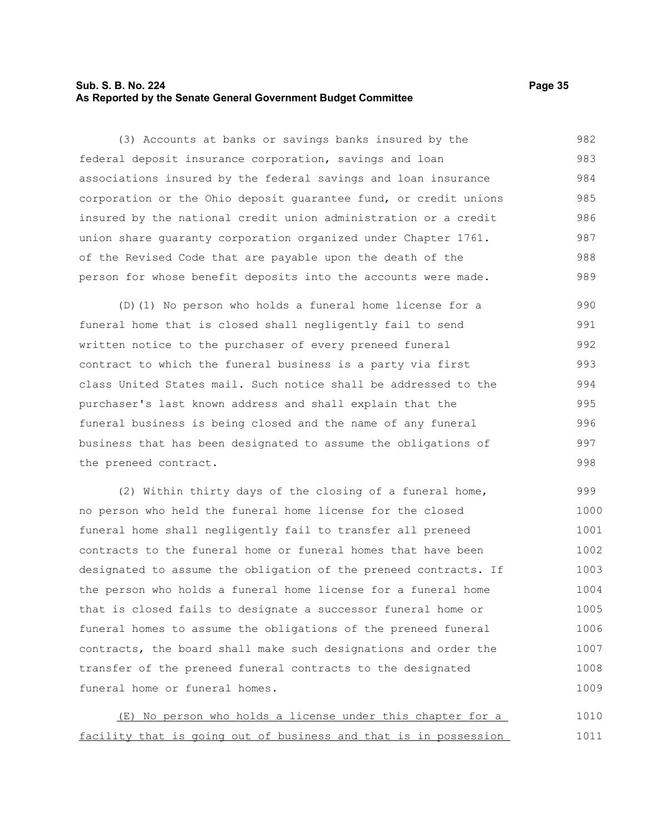# **Sub. S. B. No. 224 Page 35 As Reported by the Senate General Government Budget Committee**

(3) Accounts at banks or savings banks insured by the federal deposit insurance corporation, savings and loan associations insured by the federal savings and loan insurance corporation or the Ohio deposit guarantee fund, or credit unions insured by the national credit union administration or a credit union share guaranty corporation organized under Chapter 1761. of the Revised Code that are payable upon the death of the person for whose benefit deposits into the accounts were made. 982 983 984 985 986 987 988 989

(D)(1) No person who holds a funeral home license for a funeral home that is closed shall negligently fail to send written notice to the purchaser of every preneed funeral contract to which the funeral business is a party via first class United States mail. Such notice shall be addressed to the purchaser's last known address and shall explain that the funeral business is being closed and the name of any funeral business that has been designated to assume the obligations of the preneed contract. 990 991 992 993 994 995 996 997 998

(2) Within thirty days of the closing of a funeral home, no person who held the funeral home license for the closed funeral home shall negligently fail to transfer all preneed contracts to the funeral home or funeral homes that have been designated to assume the obligation of the preneed contracts. If the person who holds a funeral home license for a funeral home that is closed fails to designate a successor funeral home or funeral homes to assume the obligations of the preneed funeral contracts, the board shall make such designations and order the transfer of the preneed funeral contracts to the designated funeral home or funeral homes. 999 1000 1001 1002 1003 1004 1005 1006 1007 1008 1009

(E) No person who holds a license under this chapter for a facility that is going out of business and that is in possession 1010 1011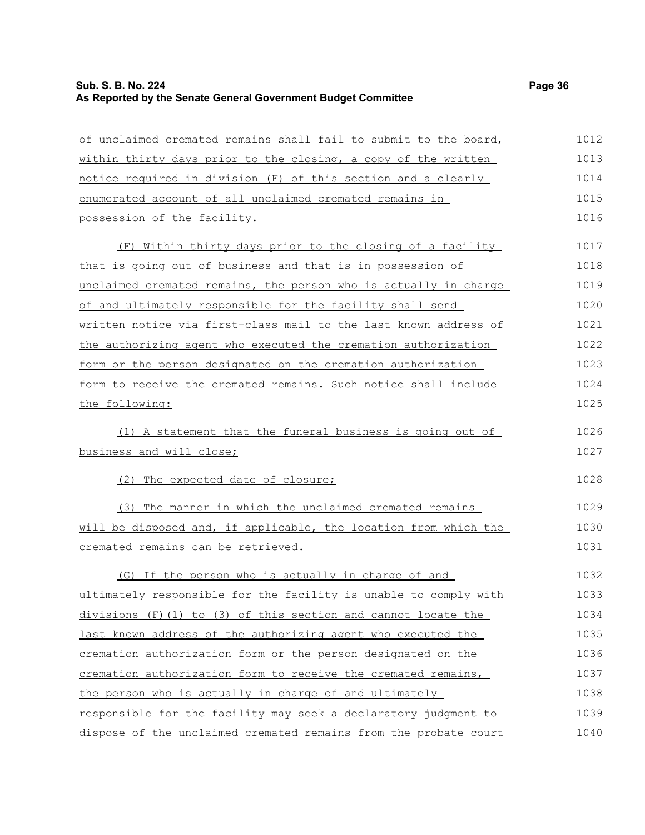# **Sub. S. B. No. 224 Page 36 As Reported by the Senate General Government Budget Committee**

of unclaimed cremated remains shall fail to submit to the board, within thirty days prior to the closing, a copy of the written notice required in division (F) of this section and a clearly enumerated account of all unclaimed cremated remains in possession of the facility. (F) Within thirty days prior to the closing of a facility that is going out of business and that is in possession of unclaimed cremated remains, the person who is actually in charge of and ultimately responsible for the facility shall send written notice via first-class mail to the last known address of the authorizing agent who executed the cremation authorization form or the person designated on the cremation authorization form to receive the cremated remains. Such notice shall include the following: (1) A statement that the funeral business is going out of business and will close; (2) The expected date of closure; (3) The manner in which the unclaimed cremated remains will be disposed and, if applicable, the location from which the cremated remains can be retrieved. (G) If the person who is actually in charge of and ultimately responsible for the facility is unable to comply with divisions  $(F)$  (1) to (3) of this section and cannot locate the last known address of the authorizing agent who executed the cremation authorization form or the person designated on the cremation authorization form to receive the cremated remains, the person who is actually in charge of and ultimately responsible for the facility may seek a declaratory judgment to 1012 1013 1014 1015 1016 1017 1018 1019 1020 1021 1022 1023 1024 1025 1026 1027 1028 1029 1030 1031 1032 1033 1034 1035 1036 1037 1038 1039

dispose of the unclaimed cremated remains from the probate court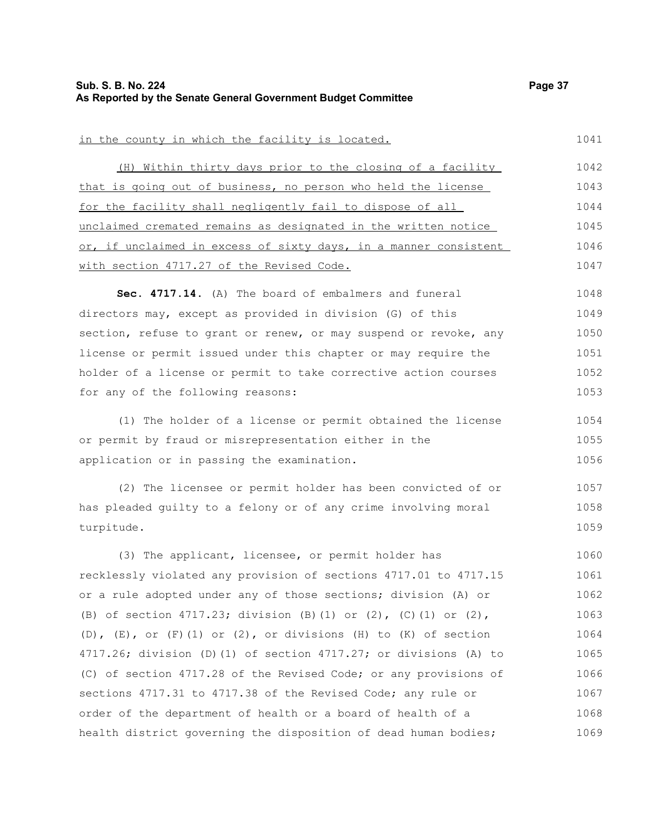turpitude.

1059

| in the county in which the facility is located.                  | 1041 |
|------------------------------------------------------------------|------|
| (H) Within thirty days prior to the closing of a facility        | 1042 |
| that is going out of business, no person who held the license    | 1043 |
| for the facility shall negligently fail to dispose of all        | 1044 |
| unclaimed cremated remains as designated in the written notice   | 1045 |
| or, if unclaimed in excess of sixty days, in a manner consistent | 1046 |
| with section 4717.27 of the Revised Code.                        | 1047 |
| Sec. 4717.14. (A) The board of embalmers and funeral             | 1048 |
| directors may, except as provided in division (G) of this        | 1049 |
| section, refuse to grant or renew, or may suspend or revoke, any | 1050 |
| license or permit issued under this chapter or may require the   | 1051 |
| holder of a license or permit to take corrective action courses  | 1052 |
| for any of the following reasons:                                | 1053 |
| (1) The holder of a license or permit obtained the license       | 1054 |
| or permit by fraud or misrepresentation either in the            | 1055 |
| application or in passing the examination.                       | 1056 |
| (2) The licensee or permit holder has been convicted of or       | 1057 |
| has pleaded quilty to a felony or of any crime involving moral   | 1058 |

(3) The applicant, licensee, or permit holder has recklessly violated any provision of sections 4717.01 to 4717.15 or a rule adopted under any of those sections; division (A) or (B) of section 4717.23; division (B)(1) or (2), (C)(1) or (2),  $(D)$ ,  $(E)$ , or  $(F)$   $(1)$  or  $(2)$ , or divisions  $(H)$  to  $(K)$  of section 4717.26; division (D)(1) of section 4717.27; or divisions (A) to (C) of section 4717.28 of the Revised Code; or any provisions of sections 4717.31 to 4717.38 of the Revised Code; any rule or order of the department of health or a board of health of a health district governing the disposition of dead human bodies; 1060 1061 1062 1063 1064 1065 1066 1067 1068 1069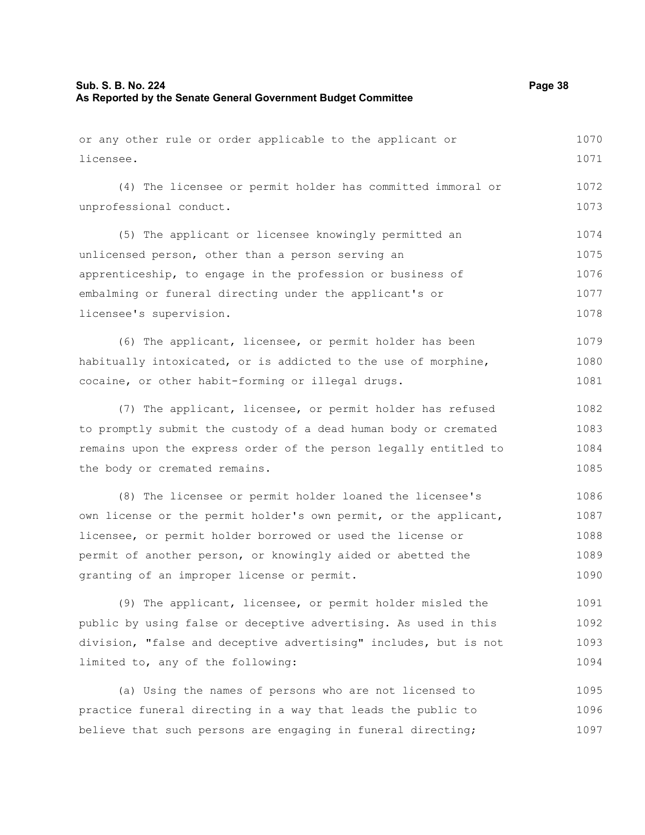| or any other rule or order applicable to the applicant or        | 1070 |
|------------------------------------------------------------------|------|
| licensee.                                                        | 1071 |
| (4) The licensee or permit holder has committed immoral or       | 1072 |
| unprofessional conduct.                                          | 1073 |
| (5) The applicant or licensee knowingly permitted an             | 1074 |
| unlicensed person, other than a person serving an                | 1075 |
| apprenticeship, to engage in the profession or business of       | 1076 |
| embalming or funeral directing under the applicant's or          | 1077 |
| licensee's supervision.                                          | 1078 |
| (6) The applicant, licensee, or permit holder has been           | 1079 |
| habitually intoxicated, or is addicted to the use of morphine,   | 1080 |
| cocaine, or other habit-forming or illegal drugs.                | 1081 |
| (7) The applicant, licensee, or permit holder has refused        | 1082 |
| to promptly submit the custody of a dead human body or cremated  | 1083 |
| remains upon the express order of the person legally entitled to | 1084 |
| the body or cremated remains.                                    | 1085 |
|                                                                  |      |

(8) The licensee or permit holder loaned the licensee's own license or the permit holder's own permit, or the applicant, licensee, or permit holder borrowed or used the license or permit of another person, or knowingly aided or abetted the granting of an improper license or permit. 1086 1087 1088 1089 1090

(9) The applicant, licensee, or permit holder misled the public by using false or deceptive advertising. As used in this division, "false and deceptive advertising" includes, but is not limited to, any of the following: 1091 1092 1093 1094

(a) Using the names of persons who are not licensed to practice funeral directing in a way that leads the public to believe that such persons are engaging in funeral directing; 1095 1096 1097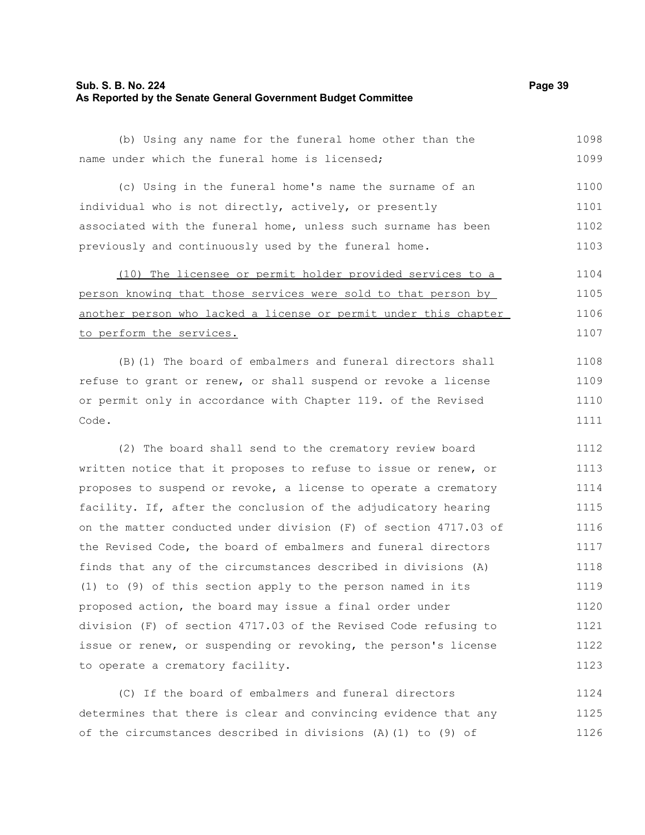## **Sub. S. B. No. 224 Page 39 As Reported by the Senate General Government Budget Committee**

|  |                                                |  |  |  | (b) Using any name for the funeral home other than the |  |  | 1098 |
|--|------------------------------------------------|--|--|--|--------------------------------------------------------|--|--|------|
|  | name under which the funeral home is licensed; |  |  |  |                                                        |  |  | 1099 |

(c) Using in the funeral home's name the surname of an individual who is not directly, actively, or presently associated with the funeral home, unless such surname has been previously and continuously used by the funeral home. 1100 1101 1102 1103

(10) The licensee or permit holder provided services to a person knowing that those services were sold to that person by another person who lacked a license or permit under this chapter to perform the services. 1104 1105 1106 1107

(B)(1) The board of embalmers and funeral directors shall refuse to grant or renew, or shall suspend or revoke a license or permit only in accordance with Chapter 119. of the Revised Code.

(2) The board shall send to the crematory review board written notice that it proposes to refuse to issue or renew, or proposes to suspend or revoke, a license to operate a crematory facility. If, after the conclusion of the adjudicatory hearing on the matter conducted under division (F) of section 4717.03 of the Revised Code, the board of embalmers and funeral directors finds that any of the circumstances described in divisions (A) (1) to (9) of this section apply to the person named in its proposed action, the board may issue a final order under division (F) of section 4717.03 of the Revised Code refusing to issue or renew, or suspending or revoking, the person's license to operate a crematory facility. 1112 1113 1114 1115 1116 1117 1118 1119 1120 1121 1122 1123

(C) If the board of embalmers and funeral directors determines that there is clear and convincing evidence that any of the circumstances described in divisions (A)(1) to (9) of 1124 1125 1126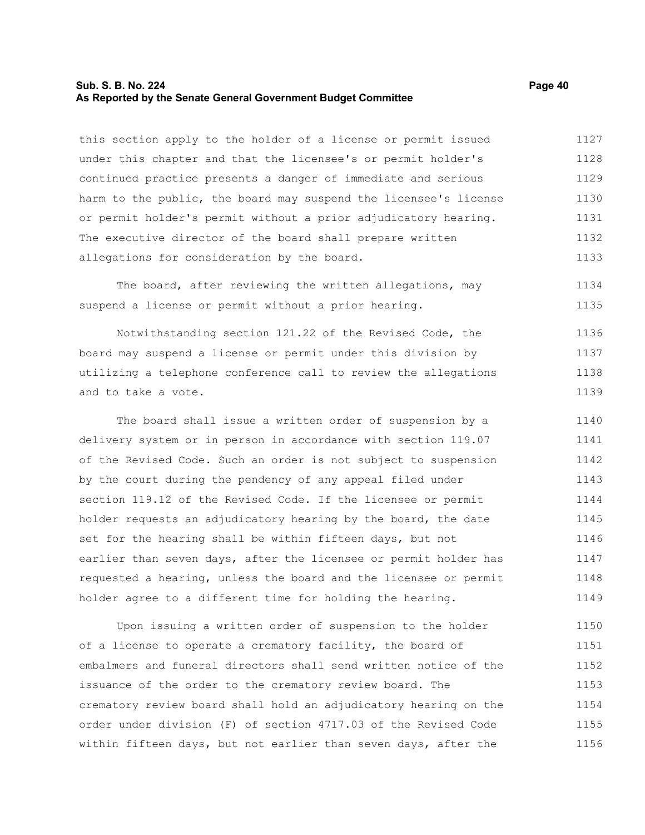## **Sub. S. B. No. 224 Page 40 As Reported by the Senate General Government Budget Committee**

this section apply to the holder of a license or permit issued under this chapter and that the licensee's or permit holder's continued practice presents a danger of immediate and serious harm to the public, the board may suspend the licensee's license or permit holder's permit without a prior adjudicatory hearing. The executive director of the board shall prepare written allegations for consideration by the board. 1127 1128 1129 1130 1131 1132 1133

The board, after reviewing the written allegations, may suspend a license or permit without a prior hearing. 1134 1135

Notwithstanding section 121.22 of the Revised Code, the board may suspend a license or permit under this division by utilizing a telephone conference call to review the allegations and to take a vote. 1136 1137 1138 1139

The board shall issue a written order of suspension by a delivery system or in person in accordance with section 119.07 of the Revised Code. Such an order is not subject to suspension by the court during the pendency of any appeal filed under section 119.12 of the Revised Code. If the licensee or permit holder requests an adjudicatory hearing by the board, the date set for the hearing shall be within fifteen days, but not earlier than seven days, after the licensee or permit holder has requested a hearing, unless the board and the licensee or permit holder agree to a different time for holding the hearing. 1140 1141 1142 1143 1144 1145 1146 1147 1148 1149

Upon issuing a written order of suspension to the holder of a license to operate a crematory facility, the board of embalmers and funeral directors shall send written notice of the issuance of the order to the crematory review board. The crematory review board shall hold an adjudicatory hearing on the order under division (F) of section 4717.03 of the Revised Code within fifteen days, but not earlier than seven days, after the 1150 1151 1152 1153 1154 1155 1156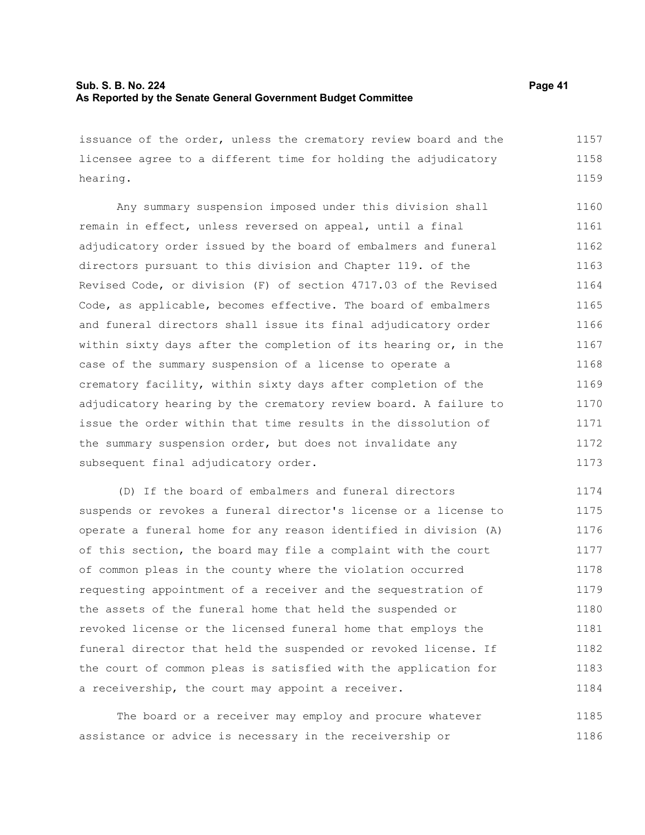issuance of the order, unless the crematory review board and the licensee agree to a different time for holding the adjudicatory hearing. 1157 1158 1159

Any summary suspension imposed under this division shall remain in effect, unless reversed on appeal, until a final adjudicatory order issued by the board of embalmers and funeral directors pursuant to this division and Chapter 119. of the Revised Code, or division (F) of section 4717.03 of the Revised Code, as applicable, becomes effective. The board of embalmers and funeral directors shall issue its final adjudicatory order within sixty days after the completion of its hearing or, in the case of the summary suspension of a license to operate a crematory facility, within sixty days after completion of the adjudicatory hearing by the crematory review board. A failure to issue the order within that time results in the dissolution of the summary suspension order, but does not invalidate any subsequent final adjudicatory order. 1160 1161 1162 1163 1164 1165 1166 1167 1168 1169 1170 1171 1172 1173

(D) If the board of embalmers and funeral directors suspends or revokes a funeral director's license or a license to operate a funeral home for any reason identified in division (A) of this section, the board may file a complaint with the court of common pleas in the county where the violation occurred requesting appointment of a receiver and the sequestration of the assets of the funeral home that held the suspended or revoked license or the licensed funeral home that employs the funeral director that held the suspended or revoked license. If the court of common pleas is satisfied with the application for a receivership, the court may appoint a receiver. 1174 1175 1176 1177 1178 1179 1180 1181 1182 1183 1184

The board or a receiver may employ and procure whatever assistance or advice is necessary in the receivership or 1185 1186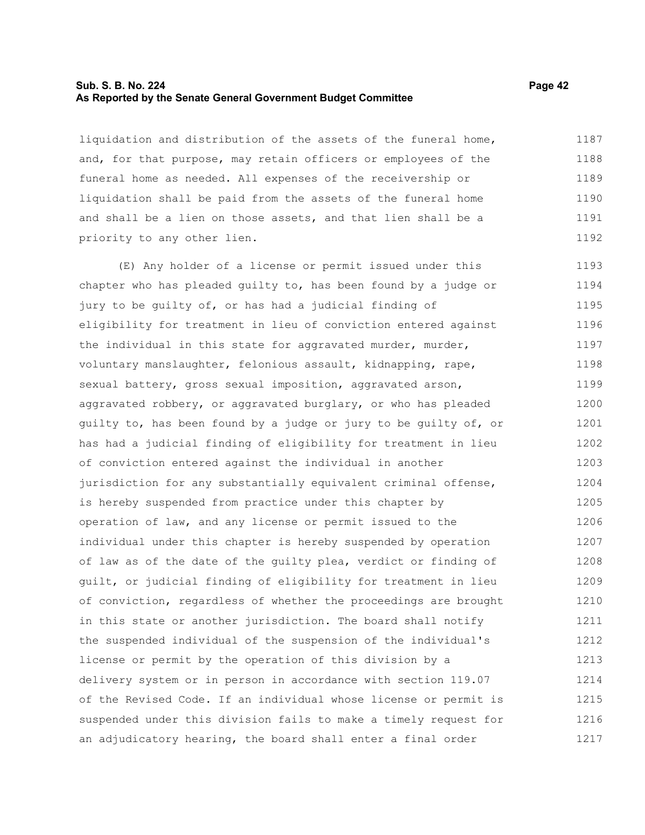## **Sub. S. B. No. 224 Page 42 As Reported by the Senate General Government Budget Committee**

liquidation and distribution of the assets of the funeral home, and, for that purpose, may retain officers or employees of the funeral home as needed. All expenses of the receivership or liquidation shall be paid from the assets of the funeral home and shall be a lien on those assets, and that lien shall be a priority to any other lien. 1187 1188 1189 1190 1191 1192

(E) Any holder of a license or permit issued under this chapter who has pleaded guilty to, has been found by a judge or jury to be guilty of, or has had a judicial finding of eligibility for treatment in lieu of conviction entered against the individual in this state for aggravated murder, murder, voluntary manslaughter, felonious assault, kidnapping, rape, sexual battery, gross sexual imposition, aggravated arson, aggravated robbery, or aggravated burglary, or who has pleaded guilty to, has been found by a judge or jury to be guilty of, or has had a judicial finding of eligibility for treatment in lieu of conviction entered against the individual in another jurisdiction for any substantially equivalent criminal offense, is hereby suspended from practice under this chapter by operation of law, and any license or permit issued to the individual under this chapter is hereby suspended by operation of law as of the date of the guilty plea, verdict or finding of guilt, or judicial finding of eligibility for treatment in lieu of conviction, regardless of whether the proceedings are brought in this state or another jurisdiction. The board shall notify the suspended individual of the suspension of the individual's license or permit by the operation of this division by a delivery system or in person in accordance with section 119.07 of the Revised Code. If an individual whose license or permit is suspended under this division fails to make a timely request for an adjudicatory hearing, the board shall enter a final order 1193 1194 1195 1196 1197 1198 1199 1200 1201 1202 1203 1204 1205 1206 1207 1208 1209 1210 1211 1212 1213 1214 1215 1216 1217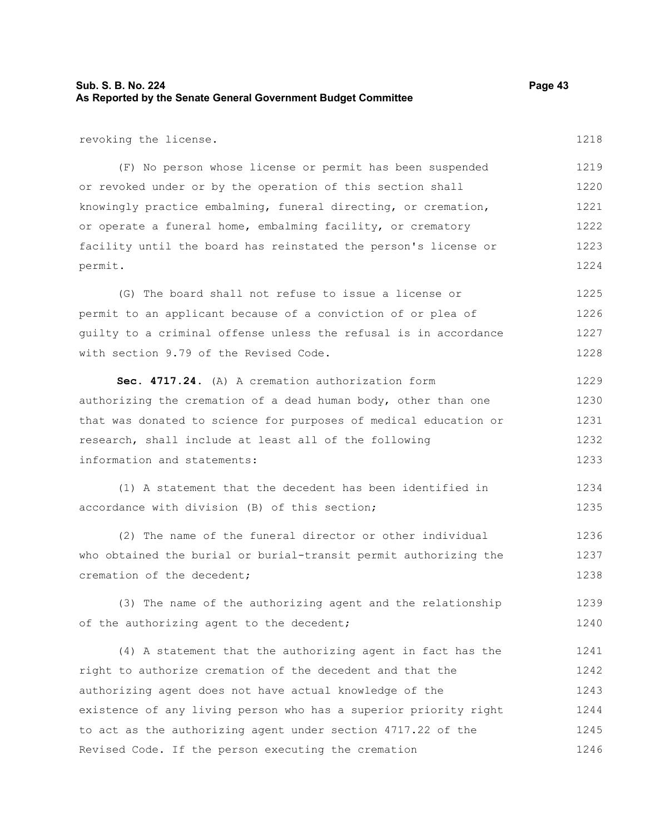| Sub. S. B. No. 224                                            | Page 43 |
|---------------------------------------------------------------|---------|
| As Reported by the Senate General Government Budget Committee |         |

revoking the license.

(F) No person whose license or permit has been suspended or revoked under or by the operation of this section shall knowingly practice embalming, funeral directing, or cremation, or operate a funeral home, embalming facility, or crematory facility until the board has reinstated the person's license or permit. 1219 1220 1221 1222 1223 1224

(G) The board shall not refuse to issue a license or permit to an applicant because of a conviction of or plea of guilty to a criminal offense unless the refusal is in accordance with section 9.79 of the Revised Code. 1225 1226 1227 1228

**Sec. 4717.24.** (A) A cremation authorization form authorizing the cremation of a dead human body, other than one that was donated to science for purposes of medical education or research, shall include at least all of the following information and statements: 1229 1230 1231 1232 1233

(1) A statement that the decedent has been identified in accordance with division (B) of this section; 1234 1235

(2) The name of the funeral director or other individual who obtained the burial or burial-transit permit authorizing the cremation of the decedent; 1236 1237 1238

(3) The name of the authorizing agent and the relationship of the authorizing agent to the decedent; 1239 1240

(4) A statement that the authorizing agent in fact has the right to authorize cremation of the decedent and that the authorizing agent does not have actual knowledge of the existence of any living person who has a superior priority right to act as the authorizing agent under section 4717.22 of the Revised Code. If the person executing the cremation 1241 1242 1243 1244 1245 1246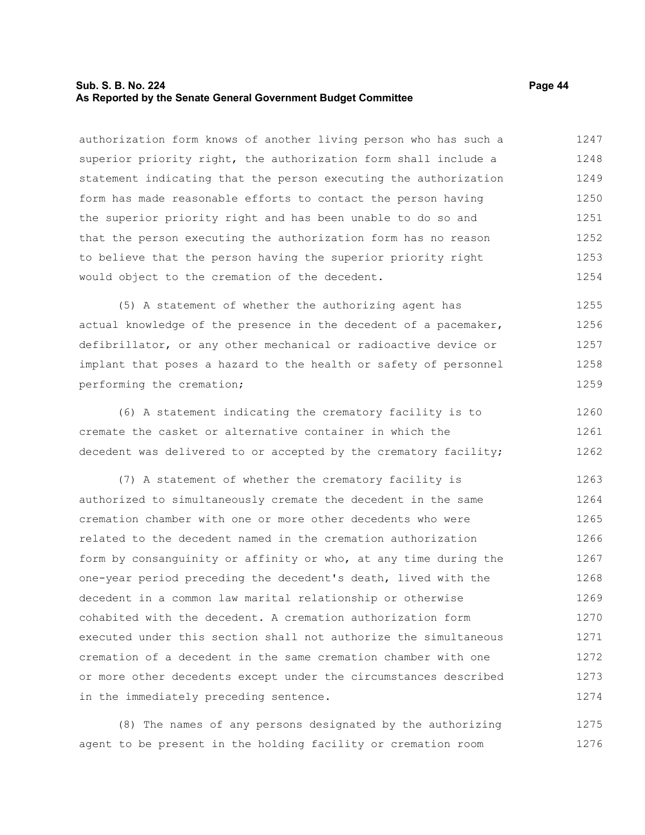## **Sub. S. B. No. 224 Page 44 As Reported by the Senate General Government Budget Committee**

authorization form knows of another living person who has such a superior priority right, the authorization form shall include a statement indicating that the person executing the authorization form has made reasonable efforts to contact the person having the superior priority right and has been unable to do so and that the person executing the authorization form has no reason to believe that the person having the superior priority right would object to the cremation of the decedent. 1247 1248 1249 1250 1251 1252 1253 1254

(5) A statement of whether the authorizing agent has actual knowledge of the presence in the decedent of a pacemaker, defibrillator, or any other mechanical or radioactive device or implant that poses a hazard to the health or safety of personnel performing the cremation; 1255 1256 1257 1258 1259

(6) A statement indicating the crematory facility is to cremate the casket or alternative container in which the decedent was delivered to or accepted by the crematory facility; 1260 1261 1262

(7) A statement of whether the crematory facility is authorized to simultaneously cremate the decedent in the same cremation chamber with one or more other decedents who were related to the decedent named in the cremation authorization form by consanguinity or affinity or who, at any time during the one-year period preceding the decedent's death, lived with the decedent in a common law marital relationship or otherwise cohabited with the decedent. A cremation authorization form executed under this section shall not authorize the simultaneous cremation of a decedent in the same cremation chamber with one or more other decedents except under the circumstances described in the immediately preceding sentence. 1263 1264 1265 1266 1267 1268 1269 1270 1271 1272 1273 1274

(8) The names of any persons designated by the authorizing agent to be present in the holding facility or cremation room 1275 1276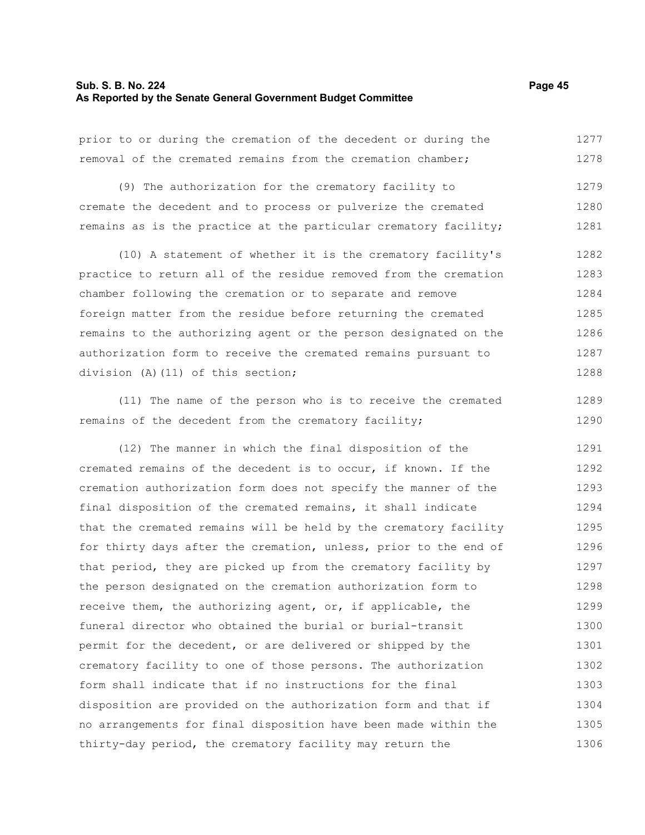#### **Sub. S. B. No. 224 Page 45 As Reported by the Senate General Government Budget Committee**

1289 1290

prior to or during the cremation of the decedent or during the removal of the cremated remains from the cremation chamber; (9) The authorization for the crematory facility to 1277 1278 1279

cremate the decedent and to process or pulverize the cremated remains as is the practice at the particular crematory facility; 1280 1281

(10) A statement of whether it is the crematory facility's practice to return all of the residue removed from the cremation chamber following the cremation or to separate and remove foreign matter from the residue before returning the cremated remains to the authorizing agent or the person designated on the authorization form to receive the cremated remains pursuant to division (A)(11) of this section; 1282 1283 1284 1285 1286 1287 1288

(11) The name of the person who is to receive the cremated remains of the decedent from the crematory facility;

(12) The manner in which the final disposition of the cremated remains of the decedent is to occur, if known. If the cremation authorization form does not specify the manner of the final disposition of the cremated remains, it shall indicate that the cremated remains will be held by the crematory facility for thirty days after the cremation, unless, prior to the end of that period, they are picked up from the crematory facility by the person designated on the cremation authorization form to receive them, the authorizing agent, or, if applicable, the funeral director who obtained the burial or burial-transit permit for the decedent, or are delivered or shipped by the crematory facility to one of those persons. The authorization form shall indicate that if no instructions for the final disposition are provided on the authorization form and that if no arrangements for final disposition have been made within the thirty-day period, the crematory facility may return the 1291 1292 1293 1294 1295 1296 1297 1298 1299 1300 1301 1302 1303 1304 1305 1306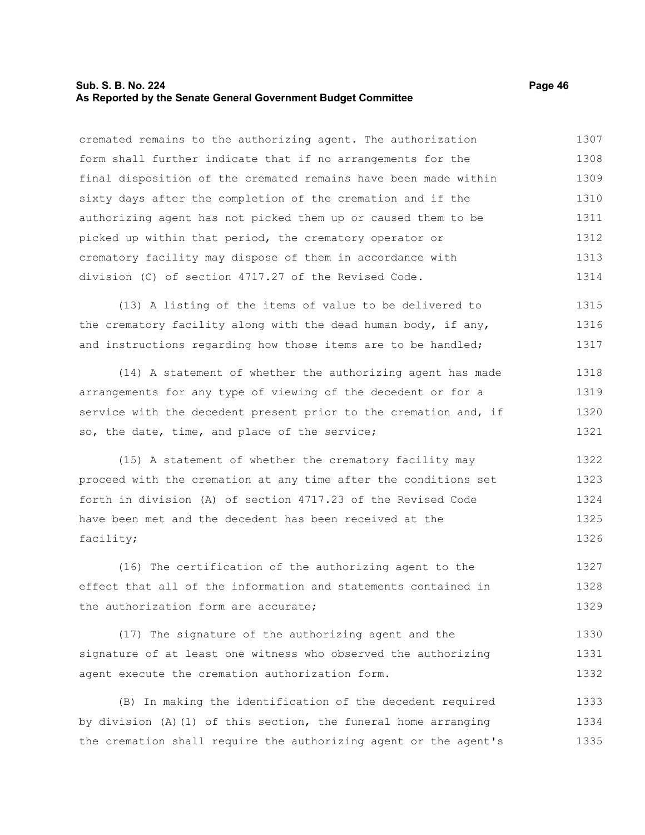#### **Sub. S. B. No. 224 Page 46 As Reported by the Senate General Government Budget Committee**

cremated remains to the authorizing agent. The authorization form shall further indicate that if no arrangements for the final disposition of the cremated remains have been made within sixty days after the completion of the cremation and if the authorizing agent has not picked them up or caused them to be picked up within that period, the crematory operator or crematory facility may dispose of them in accordance with division (C) of section 4717.27 of the Revised Code. 1307 1308 1309 1310 1311 1312 1313 1314

(13) A listing of the items of value to be delivered to the crematory facility along with the dead human body, if any, and instructions regarding how those items are to be handled; 1315 1316 1317

(14) A statement of whether the authorizing agent has made arrangements for any type of viewing of the decedent or for a service with the decedent present prior to the cremation and, if so, the date, time, and place of the service; 1318 1319 1320 1321

(15) A statement of whether the crematory facility may proceed with the cremation at any time after the conditions set forth in division (A) of section 4717.23 of the Revised Code have been met and the decedent has been received at the facility; 1322 1323 1324 1325 1326

(16) The certification of the authorizing agent to the effect that all of the information and statements contained in the authorization form are accurate; 1327 1328 1329

(17) The signature of the authorizing agent and the signature of at least one witness who observed the authorizing agent execute the cremation authorization form. 1330 1331 1332

(B) In making the identification of the decedent required by division (A)(1) of this section, the funeral home arranging the cremation shall require the authorizing agent or the agent's 1333 1334 1335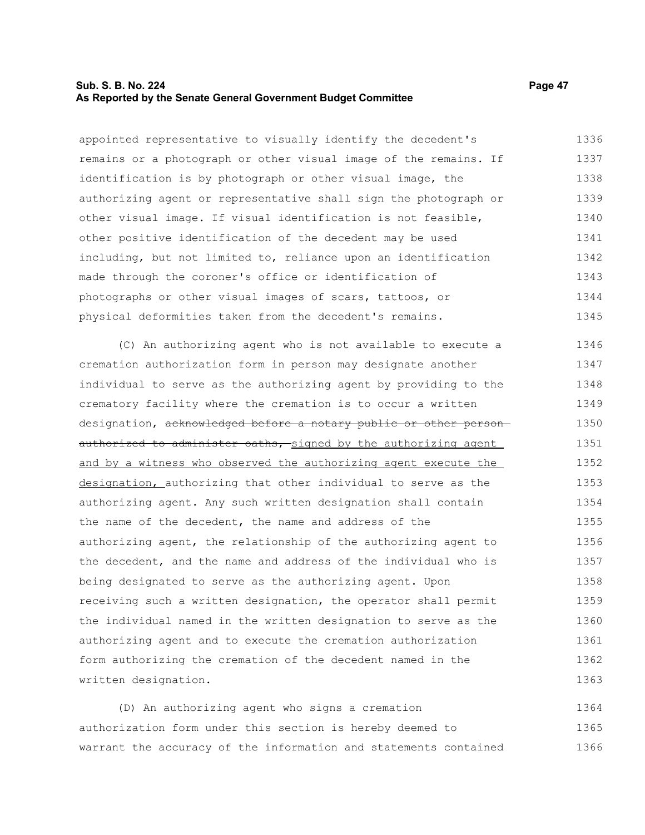#### **Sub. S. B. No. 224 Page 47 As Reported by the Senate General Government Budget Committee**

appointed representative to visually identify the decedent's remains or a photograph or other visual image of the remains. If identification is by photograph or other visual image, the authorizing agent or representative shall sign the photograph or other visual image. If visual identification is not feasible, other positive identification of the decedent may be used including, but not limited to, reliance upon an identification made through the coroner's office or identification of photographs or other visual images of scars, tattoos, or physical deformities taken from the decedent's remains. 1336 1337 1338 1339 1340 1341 1342 1343 1344 1345

(C) An authorizing agent who is not available to execute a cremation authorization form in person may designate another individual to serve as the authorizing agent by providing to the crematory facility where the cremation is to occur a written designation, acknowledged before a notary public or other personauthorized to administer oaths, signed by the authorizing agent and by a witness who observed the authorizing agent execute the designation, authorizing that other individual to serve as the authorizing agent. Any such written designation shall contain the name of the decedent, the name and address of the authorizing agent, the relationship of the authorizing agent to the decedent, and the name and address of the individual who is being designated to serve as the authorizing agent. Upon receiving such a written designation, the operator shall permit the individual named in the written designation to serve as the authorizing agent and to execute the cremation authorization form authorizing the cremation of the decedent named in the written designation. 1346 1347 1348 1349 1350 1351 1352 1353 1354 1355 1356 1357 1358 1359 1360 1361 1362 1363

(D) An authorizing agent who signs a cremation authorization form under this section is hereby deemed to warrant the accuracy of the information and statements contained 1364 1365 1366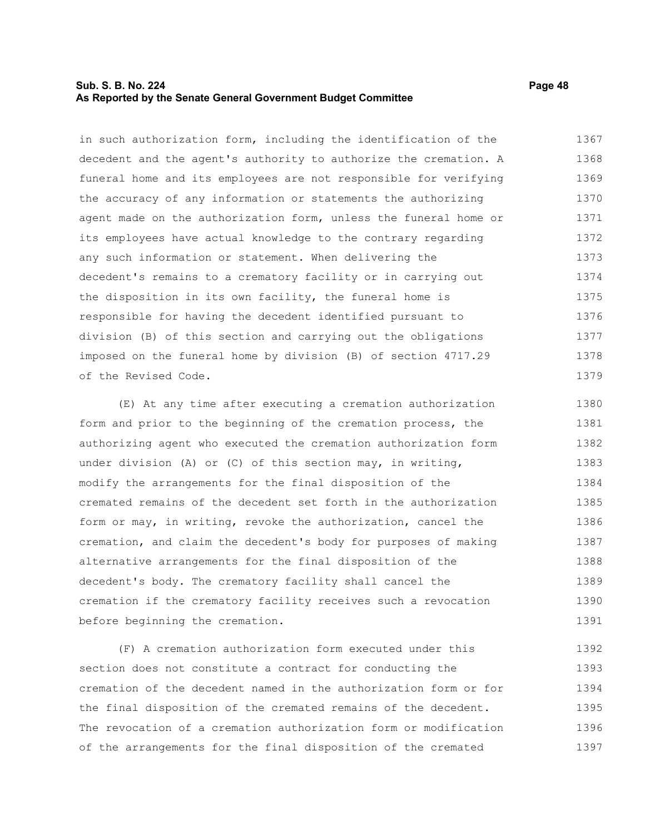# **Sub. S. B. No. 224 Page 48 As Reported by the Senate General Government Budget Committee**

in such authorization form, including the identification of the decedent and the agent's authority to authorize the cremation. A funeral home and its employees are not responsible for verifying the accuracy of any information or statements the authorizing agent made on the authorization form, unless the funeral home or its employees have actual knowledge to the contrary regarding any such information or statement. When delivering the decedent's remains to a crematory facility or in carrying out the disposition in its own facility, the funeral home is responsible for having the decedent identified pursuant to division (B) of this section and carrying out the obligations imposed on the funeral home by division (B) of section 4717.29 of the Revised Code. 1367 1368 1369 1370 1371 1372 1373 1374 1375 1376 1377 1378 1379

(E) At any time after executing a cremation authorization form and prior to the beginning of the cremation process, the authorizing agent who executed the cremation authorization form under division (A) or (C) of this section may, in writing, modify the arrangements for the final disposition of the cremated remains of the decedent set forth in the authorization form or may, in writing, revoke the authorization, cancel the cremation, and claim the decedent's body for purposes of making alternative arrangements for the final disposition of the decedent's body. The crematory facility shall cancel the cremation if the crematory facility receives such a revocation before beginning the cremation. 1380 1381 1382 1383 1384 1385 1386 1387 1388 1389 1390 1391

(F) A cremation authorization form executed under this section does not constitute a contract for conducting the cremation of the decedent named in the authorization form or for the final disposition of the cremated remains of the decedent. The revocation of a cremation authorization form or modification of the arrangements for the final disposition of the cremated 1392 1393 1394 1395 1396 1397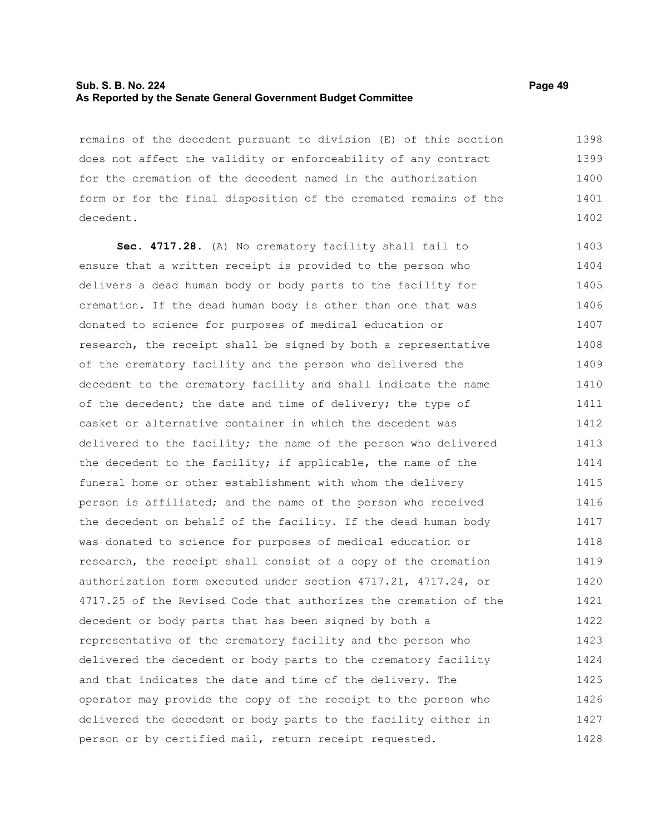## **Sub. S. B. No. 224 Page 49 As Reported by the Senate General Government Budget Committee**

remains of the decedent pursuant to division (E) of this section does not affect the validity or enforceability of any contract for the cremation of the decedent named in the authorization form or for the final disposition of the cremated remains of the decedent. 1398 1399 1400 1401 1402

**Sec. 4717.28.** (A) No crematory facility shall fail to ensure that a written receipt is provided to the person who delivers a dead human body or body parts to the facility for cremation. If the dead human body is other than one that was donated to science for purposes of medical education or research, the receipt shall be signed by both a representative of the crematory facility and the person who delivered the decedent to the crematory facility and shall indicate the name of the decedent; the date and time of delivery; the type of casket or alternative container in which the decedent was delivered to the facility; the name of the person who delivered the decedent to the facility; if applicable, the name of the funeral home or other establishment with whom the delivery person is affiliated; and the name of the person who received the decedent on behalf of the facility. If the dead human body was donated to science for purposes of medical education or research, the receipt shall consist of a copy of the cremation authorization form executed under section 4717.21, 4717.24, or 4717.25 of the Revised Code that authorizes the cremation of the decedent or body parts that has been signed by both a representative of the crematory facility and the person who delivered the decedent or body parts to the crematory facility and that indicates the date and time of the delivery. The operator may provide the copy of the receipt to the person who delivered the decedent or body parts to the facility either in person or by certified mail, return receipt requested. 1403 1404 1405 1406 1407 1408 1409 1410 1411 1412 1413 1414 1415 1416 1417 1418 1419 1420 1421 1422 1423 1424 1425 1426 1427 1428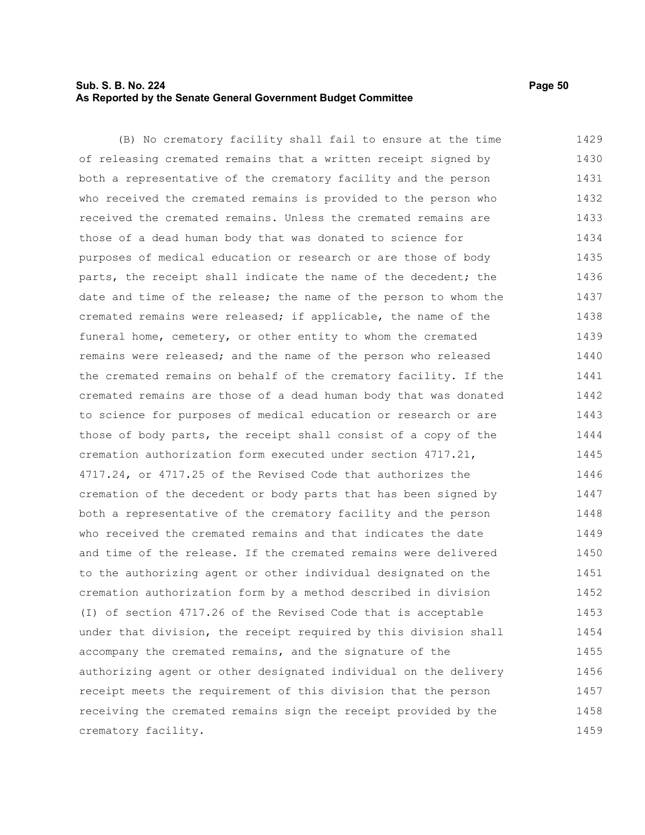# **Sub. S. B. No. 224 Page 50 As Reported by the Senate General Government Budget Committee**

crematory facility.

(B) No crematory facility shall fail to ensure at the time of releasing cremated remains that a written receipt signed by both a representative of the crematory facility and the person who received the cremated remains is provided to the person who received the cremated remains. Unless the cremated remains are those of a dead human body that was donated to science for purposes of medical education or research or are those of body parts, the receipt shall indicate the name of the decedent; the date and time of the release; the name of the person to whom the cremated remains were released; if applicable, the name of the funeral home, cemetery, or other entity to whom the cremated remains were released; and the name of the person who released the cremated remains on behalf of the crematory facility. If the cremated remains are those of a dead human body that was donated to science for purposes of medical education or research or are those of body parts, the receipt shall consist of a copy of the cremation authorization form executed under section 4717.21, 4717.24, or 4717.25 of the Revised Code that authorizes the cremation of the decedent or body parts that has been signed by both a representative of the crematory facility and the person who received the cremated remains and that indicates the date and time of the release. If the cremated remains were delivered to the authorizing agent or other individual designated on the cremation authorization form by a method described in division (I) of section 4717.26 of the Revised Code that is acceptable under that division, the receipt required by this division shall accompany the cremated remains, and the signature of the authorizing agent or other designated individual on the delivery receipt meets the requirement of this division that the person receiving the cremated remains sign the receipt provided by the 1429 1430 1431 1432 1433 1434 1435 1436 1437 1438 1439 1440 1441 1442 1443 1444 1445 1446 1447 1448 1449 1450 1451 1452 1453 1454 1455 1456 1457 1458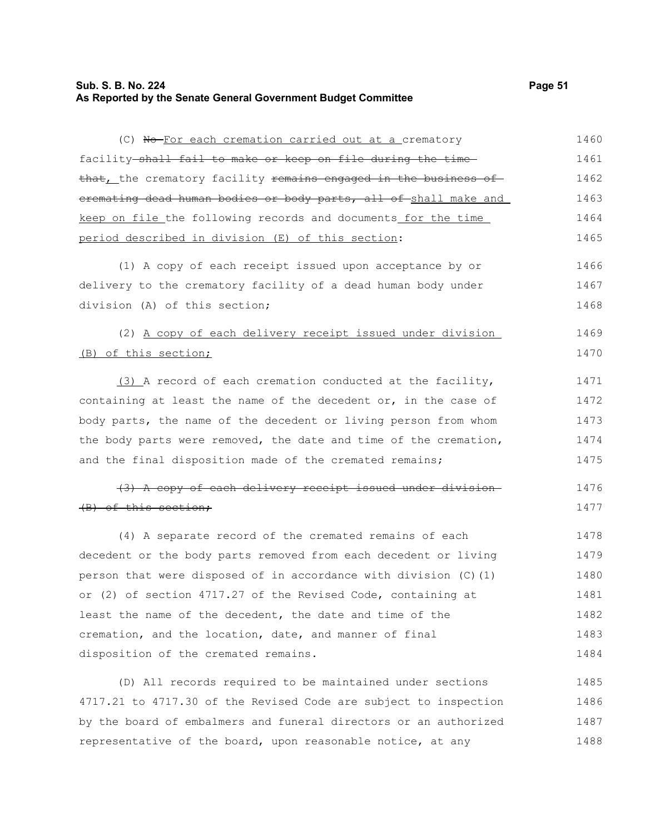# **Sub. S. B. No. 224 Page 51 As Reported by the Senate General Government Budget Committee**

(C) No For each cremation carried out at a crematory

| facility shall fail to make or keep on file during the time                | 1461 |
|----------------------------------------------------------------------------|------|
| that, the crematory facility <del>remains engaged in the business of</del> | 1462 |
| eremating dead human bodies or body parts, all of shall make and           | 1463 |
| keep on file the following records and documents for the time              | 1464 |
| period described in division (E) of this section:                          | 1465 |
| (1) A copy of each receipt issued upon acceptance by or                    | 1466 |
| delivery to the crematory facility of a dead human body under              | 1467 |
| division (A) of this section;                                              | 1468 |
| (2) A copy of each delivery receipt issued under division                  | 1469 |
| (B) of this section;                                                       | 1470 |
| (3) A record of each cremation conducted at the facility,                  | 1471 |
| containing at least the name of the decedent or, in the case of            | 1472 |
| body parts, the name of the decedent or living person from whom            | 1473 |
| the body parts were removed, the date and time of the cremation,           | 1474 |
| and the final disposition made of the cremated remains;                    | 1475 |
| (3) A copy of each delivery receipt issued under division-                 | 1476 |
| (B) of this section;                                                       | 1477 |
| (4) A separate record of the cremated remains of each                      | 1478 |
| decedent or the body parts removed from each decedent or living            | 1479 |
| person that were disposed of in accordance with division (C)(1)            | 1480 |
| or (2) of section 4717.27 of the Revised Code, containing at               | 1481 |
| least the name of the decedent, the date and time of the                   | 1482 |
| cremation, and the location, date, and manner of final                     | 1483 |
| disposition of the cremated remains.                                       | 1484 |
|                                                                            |      |

(D) All records required to be maintained under sections 4717.21 to 4717.30 of the Revised Code are subject to inspection by the board of embalmers and funeral directors or an authorized representative of the board, upon reasonable notice, at any 1485 1486 1487 1488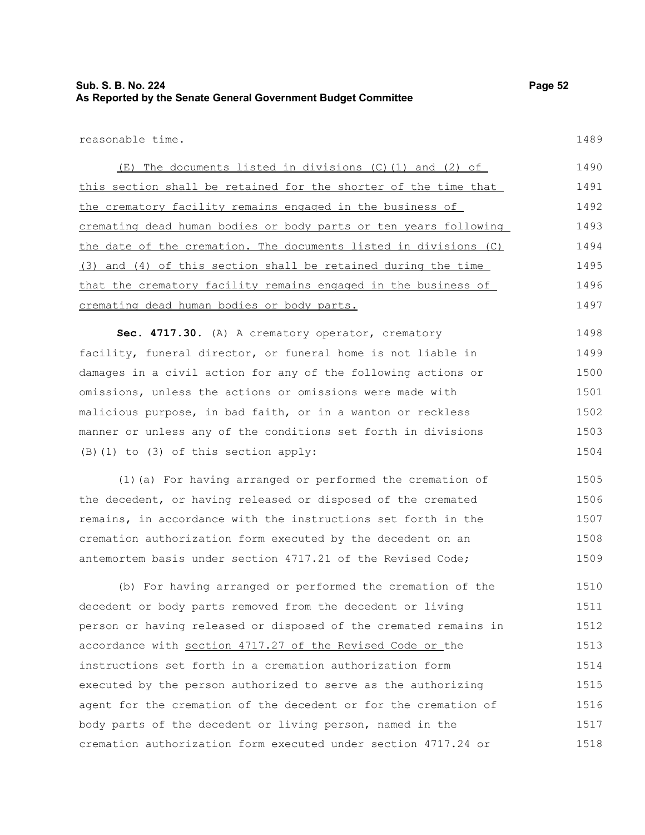1489

reasonable time.

(E) The documents listed in divisions (C)(1) and (2) of this section shall be retained for the shorter of the time that the crematory facility remains engaged in the business of cremating dead human bodies or body parts or ten years following the date of the cremation. The documents listed in divisions (C) (3) and (4) of this section shall be retained during the time that the crematory facility remains engaged in the business of cremating dead human bodies or body parts. 1490 1491 1492 1493 1494 1495 1496 1497

**Sec. 4717.30.** (A) A crematory operator, crematory facility, funeral director, or funeral home is not liable in damages in a civil action for any of the following actions or omissions, unless the actions or omissions were made with malicious purpose, in bad faith, or in a wanton or reckless manner or unless any of the conditions set forth in divisions (B)(1) to (3) of this section apply: 1498 1499 1500 1501 1502 1503 1504

(1)(a) For having arranged or performed the cremation of the decedent, or having released or disposed of the cremated remains, in accordance with the instructions set forth in the cremation authorization form executed by the decedent on an antemortem basis under section 4717.21 of the Revised Code; 1505 1506 1507 1508 1509

(b) For having arranged or performed the cremation of the decedent or body parts removed from the decedent or living person or having released or disposed of the cremated remains in accordance with section 4717.27 of the Revised Code or the instructions set forth in a cremation authorization form executed by the person authorized to serve as the authorizing agent for the cremation of the decedent or for the cremation of body parts of the decedent or living person, named in the cremation authorization form executed under section 4717.24 or 1510 1511 1512 1513 1514 1515 1516 1517 1518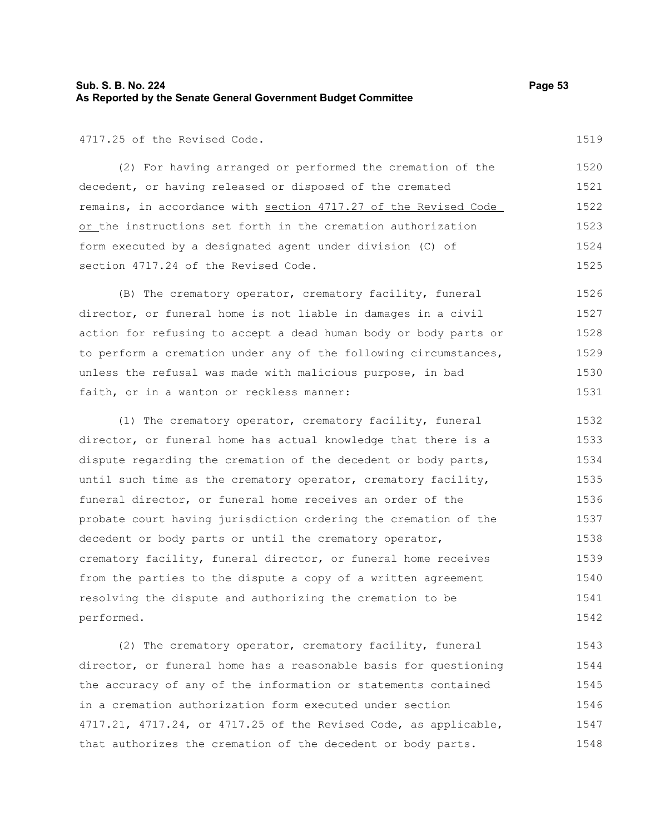# **Sub. S. B. No. 224 Page 53 As Reported by the Senate General Government Budget Committee**

4717.25 of the Revised Code.

(2) For having arranged or performed the cremation of the decedent, or having released or disposed of the cremated remains, in accordance with section 4717.27 of the Revised Code or the instructions set forth in the cremation authorization form executed by a designated agent under division (C) of section 4717.24 of the Revised Code. 1520 1521 1522 1523 1524 1525

(B) The crematory operator, crematory facility, funeral director, or funeral home is not liable in damages in a civil action for refusing to accept a dead human body or body parts or to perform a cremation under any of the following circumstances, unless the refusal was made with malicious purpose, in bad faith, or in a wanton or reckless manner: 1526 1527 1528 1529 1530 1531

(1) The crematory operator, crematory facility, funeral director, or funeral home has actual knowledge that there is a dispute regarding the cremation of the decedent or body parts, until such time as the crematory operator, crematory facility, funeral director, or funeral home receives an order of the probate court having jurisdiction ordering the cremation of the decedent or body parts or until the crematory operator, crematory facility, funeral director, or funeral home receives from the parties to the dispute a copy of a written agreement resolving the dispute and authorizing the cremation to be performed. 1532 1533 1534 1535 1536 1537 1538 1539 1540 1541 1542

(2) The crematory operator, crematory facility, funeral director, or funeral home has a reasonable basis for questioning the accuracy of any of the information or statements contained in a cremation authorization form executed under section 4717.21, 4717.24, or 4717.25 of the Revised Code, as applicable, that authorizes the cremation of the decedent or body parts. 1543 1544 1545 1546 1547 1548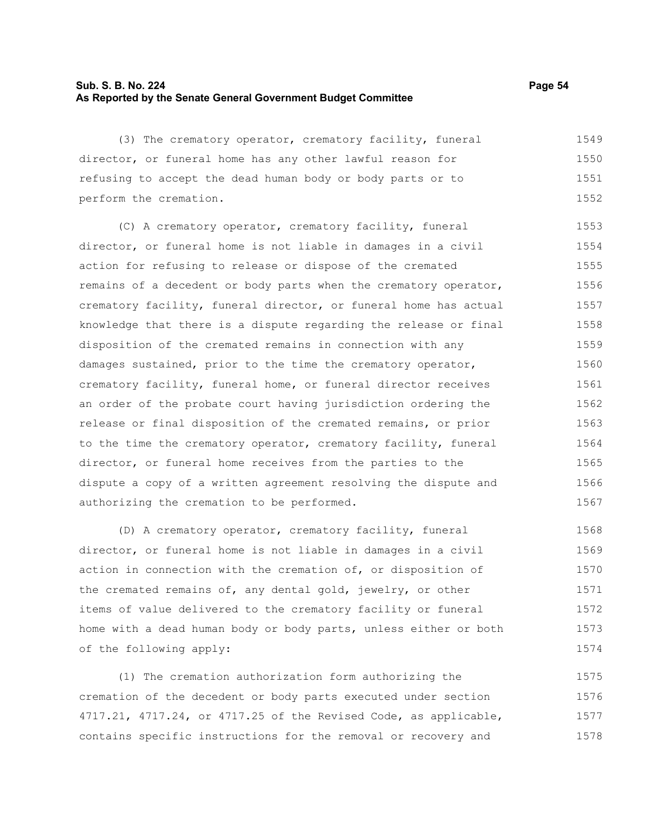# **Sub. S. B. No. 224 Page 54 As Reported by the Senate General Government Budget Committee**

(3) The crematory operator, crematory facility, funeral director, or funeral home has any other lawful reason for refusing to accept the dead human body or body parts or to perform the cremation. 1549 1550 1551 1552

(C) A crematory operator, crematory facility, funeral director, or funeral home is not liable in damages in a civil action for refusing to release or dispose of the cremated remains of a decedent or body parts when the crematory operator, crematory facility, funeral director, or funeral home has actual knowledge that there is a dispute regarding the release or final disposition of the cremated remains in connection with any damages sustained, prior to the time the crematory operator, crematory facility, funeral home, or funeral director receives an order of the probate court having jurisdiction ordering the release or final disposition of the cremated remains, or prior to the time the crematory operator, crematory facility, funeral director, or funeral home receives from the parties to the dispute a copy of a written agreement resolving the dispute and authorizing the cremation to be performed. 1553 1554 1555 1556 1557 1558 1559 1560 1561 1562 1563 1564 1565 1566 1567

(D) A crematory operator, crematory facility, funeral director, or funeral home is not liable in damages in a civil action in connection with the cremation of, or disposition of the cremated remains of, any dental gold, jewelry, or other items of value delivered to the crematory facility or funeral home with a dead human body or body parts, unless either or both of the following apply: 1568 1569 1570 1571 1572 1573 1574

(1) The cremation authorization form authorizing the cremation of the decedent or body parts executed under section 4717.21, 4717.24, or 4717.25 of the Revised Code, as applicable, contains specific instructions for the removal or recovery and 1575 1576 1577 1578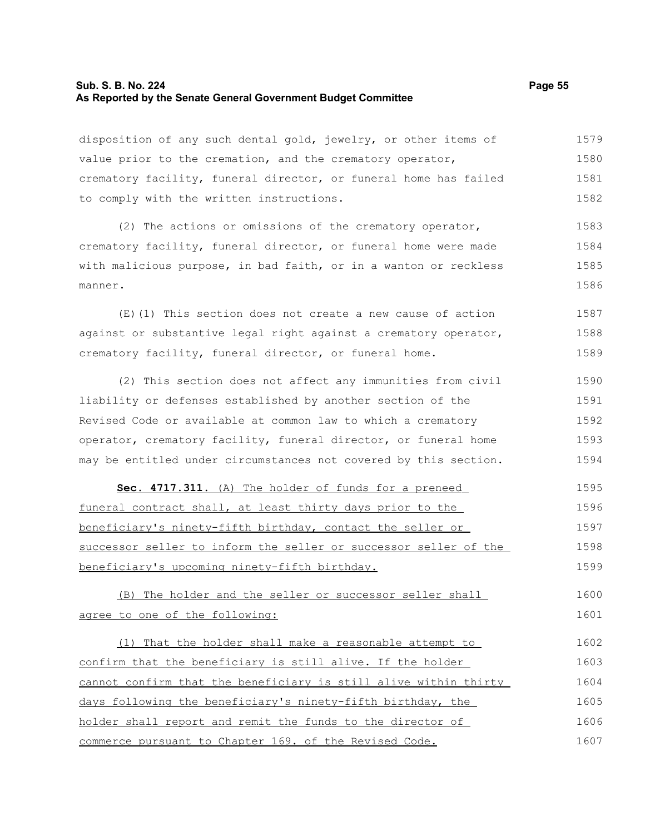## **Sub. S. B. No. 224 Page 55 As Reported by the Senate General Government Budget Committee**

disposition of any such dental gold, jewelry, or other items of value prior to the cremation, and the crematory operator, crematory facility, funeral director, or funeral home has failed to comply with the written instructions. 1579 1580 1581 1582

(2) The actions or omissions of the crematory operator, crematory facility, funeral director, or funeral home were made with malicious purpose, in bad faith, or in a wanton or reckless manner. 1583 1584 1585 1586

(E)(1) This section does not create a new cause of action against or substantive legal right against a crematory operator, crematory facility, funeral director, or funeral home. 1587 1588 1589

(2) This section does not affect any immunities from civil liability or defenses established by another section of the Revised Code or available at common law to which a crematory operator, crematory facility, funeral director, or funeral home may be entitled under circumstances not covered by this section. 1590 1591 1592 1593 1594

 **Sec. 4717.311.** (A) The holder of funds for a preneed funeral contract shall, at least thirty days prior to the beneficiary's ninety-fifth birthday, contact the seller or successor seller to inform the seller or successor seller of the beneficiary's upcoming ninety-fifth birthday. 1595 1596 1597 1598 1599

(B) The holder and the seller or successor seller shall agree to one of the following: 1600 1601

(1) That the holder shall make a reasonable attempt to confirm that the beneficiary is still alive. If the holder cannot confirm that the beneficiary is still alive within thirty days following the beneficiary's ninety-fifth birthday, the holder shall report and remit the funds to the director of commerce pursuant to Chapter 169. of the Revised Code. 1602 1603 1604 1605 1606 1607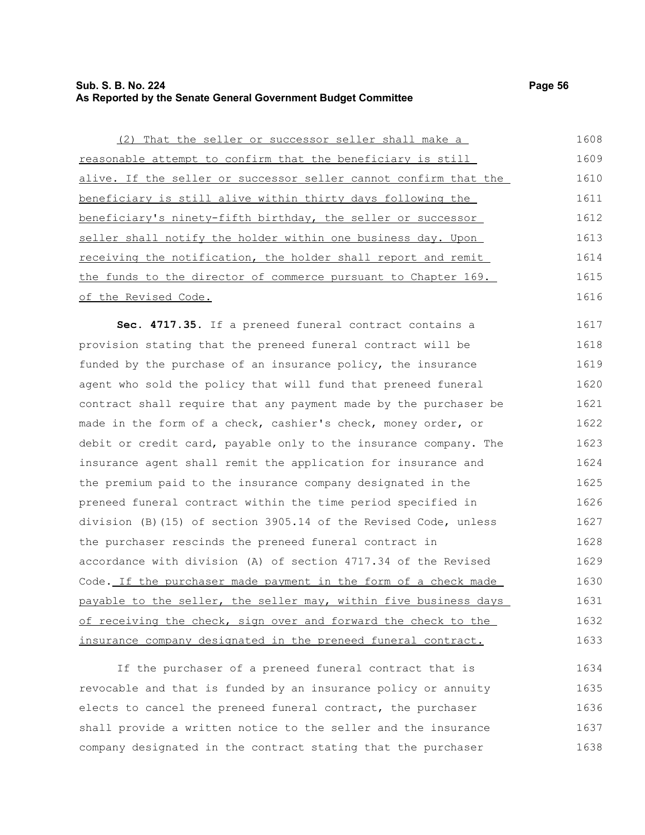# **Sub. S. B. No. 224 Page 56 As Reported by the Senate General Government Budget Committee**

(2) That the seller or successor seller shall make a reasonable attempt to confirm that the beneficiary is still alive. If the seller or successor seller cannot confirm that the beneficiary is still alive within thirty days following the beneficiary's ninety-fifth birthday, the seller or successor seller shall notify the holder within one business day. Upon receiving the notification, the holder shall report and remit the funds to the director of commerce pursuant to Chapter 169. of the Revised Code. 1608 1609 1610 1611 1612 1613 1614 1615 1616

Sec. 4717.35. If a preneed funeral contract contains a provision stating that the preneed funeral contract will be funded by the purchase of an insurance policy, the insurance agent who sold the policy that will fund that preneed funeral contract shall require that any payment made by the purchaser be made in the form of a check, cashier's check, money order, or debit or credit card, payable only to the insurance company. The insurance agent shall remit the application for insurance and the premium paid to the insurance company designated in the preneed funeral contract within the time period specified in division (B)(15) of section 3905.14 of the Revised Code, unless the purchaser rescinds the preneed funeral contract in accordance with division (A) of section 4717.34 of the Revised Code. If the purchaser made payment in the form of a check made payable to the seller, the seller may, within five business days of receiving the check, sign over and forward the check to the insurance company designated in the preneed funeral contract. 1617 1618 1619 1620 1621 1622 1623 1624 1625 1626 1627 1628 1629 1630 1631 1632 1633

If the purchaser of a preneed funeral contract that is revocable and that is funded by an insurance policy or annuity elects to cancel the preneed funeral contract, the purchaser shall provide a written notice to the seller and the insurance company designated in the contract stating that the purchaser 1634 1635 1636 1637 1638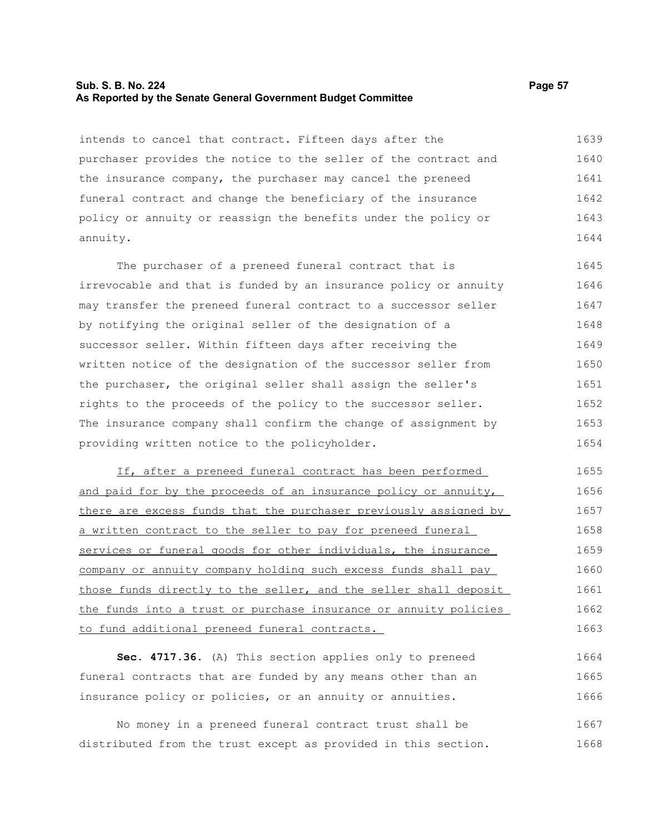#### **Sub. S. B. No. 224 Page 57 As Reported by the Senate General Government Budget Committee**

intends to cancel that contract. Fifteen days after the purchaser provides the notice to the seller of the contract and the insurance company, the purchaser may cancel the preneed funeral contract and change the beneficiary of the insurance policy or annuity or reassign the benefits under the policy or annuity. 1639 1640 1641 1642 1643 1644

The purchaser of a preneed funeral contract that is irrevocable and that is funded by an insurance policy or annuity may transfer the preneed funeral contract to a successor seller by notifying the original seller of the designation of a successor seller. Within fifteen days after receiving the written notice of the designation of the successor seller from the purchaser, the original seller shall assign the seller's rights to the proceeds of the policy to the successor seller. The insurance company shall confirm the change of assignment by providing written notice to the policyholder. 1645 1646 1647 1648 1649 1650 1651 1652 1653 1654

If, after a preneed funeral contract has been performed and paid for by the proceeds of an insurance policy or annuity, there are excess funds that the purchaser previously assigned by a written contract to the seller to pay for preneed funeral services or funeral goods for other individuals, the insurance company or annuity company holding such excess funds shall pay those funds directly to the seller, and the seller shall deposit the funds into a trust or purchase insurance or annuity policies to fund additional preneed funeral contracts. 1655 1656 1657 1658 1659 1660 1661 1662 1663

**Sec. 4717.36.** (A) This section applies only to preneed funeral contracts that are funded by any means other than an insurance policy or policies, or an annuity or annuities. 1664 1665 1666

No money in a preneed funeral contract trust shall be distributed from the trust except as provided in this section. 1667 1668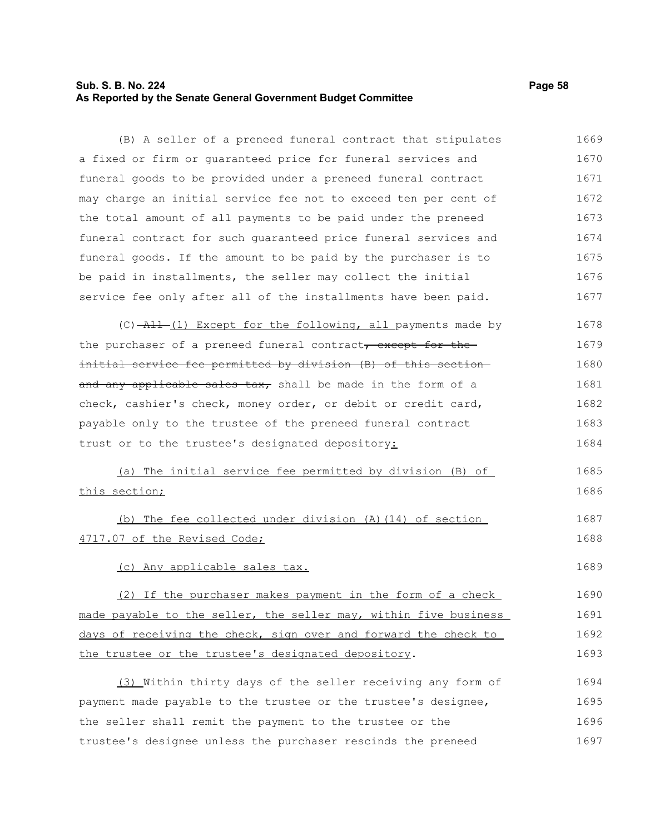# **Sub. S. B. No. 224 Page 58 As Reported by the Senate General Government Budget Committee**

(B) A seller of a preneed funeral contract that stipulates a fixed or firm or guaranteed price for funeral services and funeral goods to be provided under a preneed funeral contract may charge an initial service fee not to exceed ten per cent of the total amount of all payments to be paid under the preneed funeral contract for such guaranteed price funeral services and funeral goods. If the amount to be paid by the purchaser is to be paid in installments, the seller may collect the initial service fee only after all of the installments have been paid. 1669 1670 1671 1672 1673 1674 1675 1676 1677

 $(C)$   $\rightarrow$   $\rightarrow$   $(1)$  Except for the following, all payments made by the purchaser of a preneed funeral contract, except for the initial service fee permitted by division (B) of this section and any applicable sales tax, shall be made in the form of a check, cashier's check, money order, or debit or credit card, payable only to the trustee of the preneed funeral contract trust or to the trustee's designated depository: 1678 1679 1680 1681 1682 1683 1684

(a) The initial service fee permitted by division (B) of this section; 1685 1686

(b) The fee collected under division (A)(14) of section 4717.07 of the Revised Code; 1687 1688

(c) Any applicable sales tax. 1689

(2) If the purchaser makes payment in the form of a check made payable to the seller, the seller may, within five business days of receiving the check, sign over and forward the check to the trustee or the trustee's designated depository. 1690 1691 1692 1693

(3) Within thirty days of the seller receiving any form of payment made payable to the trustee or the trustee's designee, the seller shall remit the payment to the trustee or the trustee's designee unless the purchaser rescinds the preneed 1694 1695 1696 1697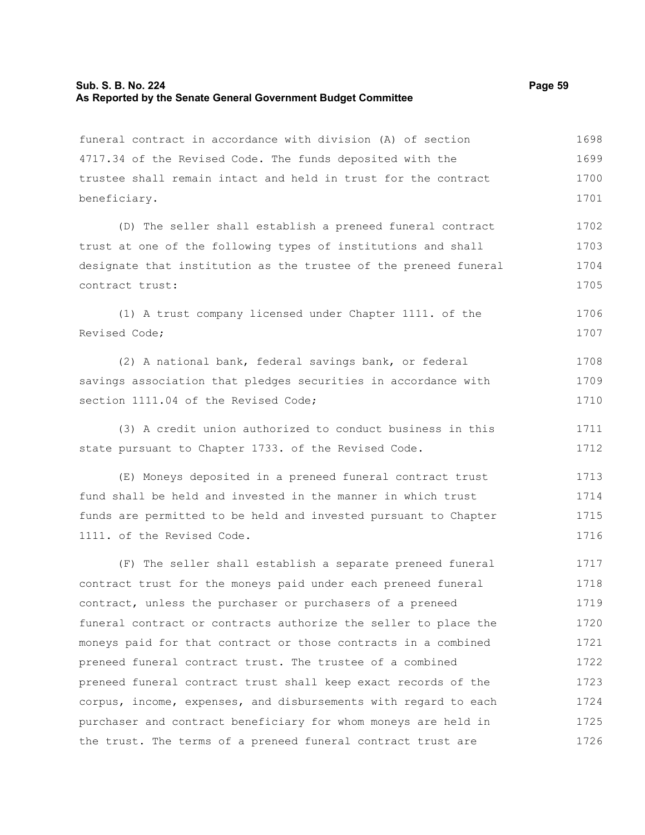# **Sub. S. B. No. 224** Page 59 **As Reported by the Senate General Government Budget Committee**

| funeral contract in accordance with division (A) of section      | 1698 |
|------------------------------------------------------------------|------|
| 4717.34 of the Revised Code. The funds deposited with the        | 1699 |
| trustee shall remain intact and held in trust for the contract   | 1700 |
| beneficiary.                                                     | 1701 |
| (D) The seller shall establish a preneed funeral contract        | 1702 |
| trust at one of the following types of institutions and shall    | 1703 |
| designate that institution as the trustee of the preneed funeral | 1704 |
| contract trust:                                                  | 1705 |
| (1) A trust company licensed under Chapter 1111. of the          | 1706 |
| Revised Code;                                                    | 1707 |
| (2) A national bank, federal savings bank, or federal            | 1708 |
| savings association that pledges securities in accordance with   | 1709 |
| section 1111.04 of the Revised Code;                             | 1710 |
| (3) A credit union authorized to conduct business in this        | 1711 |
| state pursuant to Chapter 1733. of the Revised Code.             | 1712 |
| (E) Moneys deposited in a preneed funeral contract trust         | 1713 |
| fund shall be held and invested in the manner in which trust     | 1714 |
| funds are permitted to be held and invested pursuant to Chapter  | 1715 |
| 1111. of the Revised Code.                                       | 1716 |
| (F) The seller shall establish a separate preneed funeral        | 1717 |
| contract trust for the moneys paid under each preneed funeral    | 1718 |
| contract, unless the purchaser or purchasers of a preneed        | 1719 |
| funeral contract or contracts authorize the seller to place the  | 1720 |
| moneys paid for that contract or those contracts in a combined   | 1721 |
| preneed funeral contract trust. The trustee of a combined        | 1722 |
| preneed funeral contract trust shall keep exact records of the   | 1723 |
| corpus, income, expenses, and disbursements with regard to each  | 1724 |
| purchaser and contract beneficiary for whom moneys are held in   | 1725 |
| the trust. The terms of a preneed funeral contract trust are     | 1726 |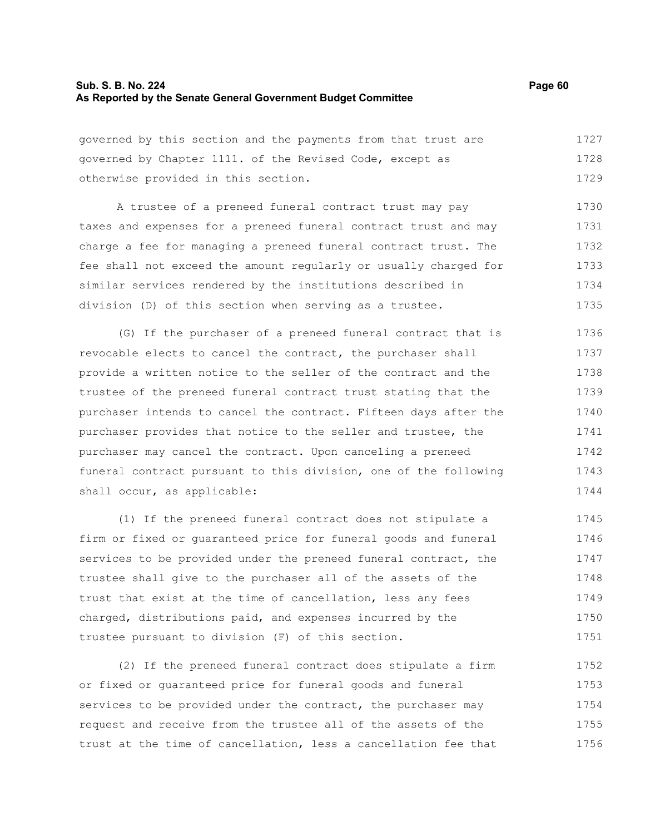## **Sub. S. B. No. 224 Page 60 As Reported by the Senate General Government Budget Committee**

governed by this section and the payments from that trust are governed by Chapter 1111. of the Revised Code, except as otherwise provided in this section. 1727 1728 1729

A trustee of a preneed funeral contract trust may pay taxes and expenses for a preneed funeral contract trust and may charge a fee for managing a preneed funeral contract trust. The fee shall not exceed the amount regularly or usually charged for similar services rendered by the institutions described in division (D) of this section when serving as a trustee. 1730 1731 1732 1733 1734 1735

(G) If the purchaser of a preneed funeral contract that is revocable elects to cancel the contract, the purchaser shall provide a written notice to the seller of the contract and the trustee of the preneed funeral contract trust stating that the purchaser intends to cancel the contract. Fifteen days after the purchaser provides that notice to the seller and trustee, the purchaser may cancel the contract. Upon canceling a preneed funeral contract pursuant to this division, one of the following shall occur, as applicable: 1736 1737 1738 1739 1740 1741 1742 1743 1744

(1) If the preneed funeral contract does not stipulate a firm or fixed or guaranteed price for funeral goods and funeral services to be provided under the preneed funeral contract, the trustee shall give to the purchaser all of the assets of the trust that exist at the time of cancellation, less any fees charged, distributions paid, and expenses incurred by the trustee pursuant to division (F) of this section. 1745 1746 1747 1748 1749 1750 1751

(2) If the preneed funeral contract does stipulate a firm or fixed or guaranteed price for funeral goods and funeral services to be provided under the contract, the purchaser may request and receive from the trustee all of the assets of the trust at the time of cancellation, less a cancellation fee that 1752 1753 1754 1755 1756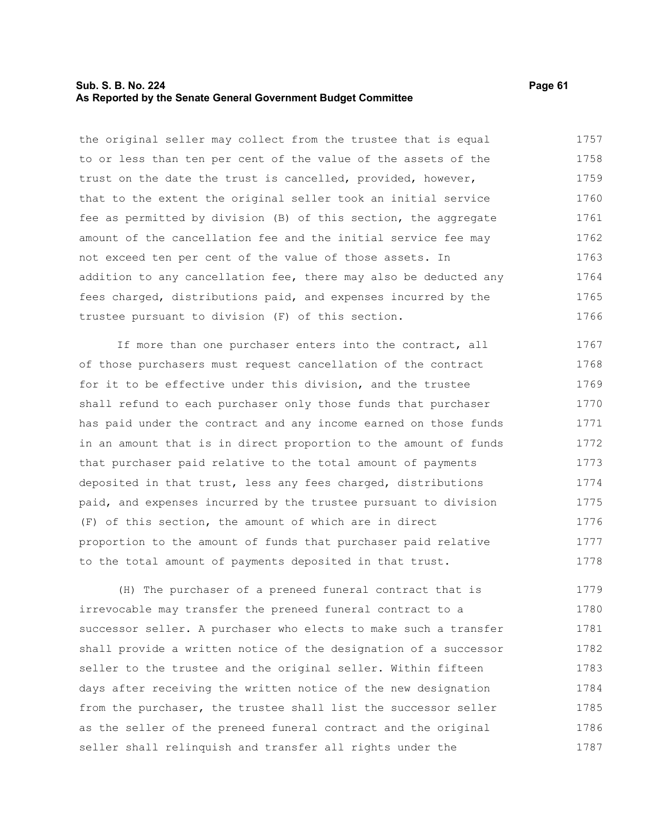## **Sub. S. B. No. 224 Page 61 As Reported by the Senate General Government Budget Committee**

the original seller may collect from the trustee that is equal to or less than ten per cent of the value of the assets of the trust on the date the trust is cancelled, provided, however, that to the extent the original seller took an initial service fee as permitted by division (B) of this section, the aggregate amount of the cancellation fee and the initial service fee may not exceed ten per cent of the value of those assets. In addition to any cancellation fee, there may also be deducted any fees charged, distributions paid, and expenses incurred by the trustee pursuant to division (F) of this section. 1757 1758 1759 1760 1761 1762 1763 1764 1765 1766

If more than one purchaser enters into the contract, all of those purchasers must request cancellation of the contract for it to be effective under this division, and the trustee shall refund to each purchaser only those funds that purchaser has paid under the contract and any income earned on those funds in an amount that is in direct proportion to the amount of funds that purchaser paid relative to the total amount of payments deposited in that trust, less any fees charged, distributions paid, and expenses incurred by the trustee pursuant to division (F) of this section, the amount of which are in direct proportion to the amount of funds that purchaser paid relative to the total amount of payments deposited in that trust. 1767 1768 1769 1770 1771 1772 1773 1774 1775 1776 1777 1778

(H) The purchaser of a preneed funeral contract that is irrevocable may transfer the preneed funeral contract to a successor seller. A purchaser who elects to make such a transfer shall provide a written notice of the designation of a successor seller to the trustee and the original seller. Within fifteen days after receiving the written notice of the new designation from the purchaser, the trustee shall list the successor seller as the seller of the preneed funeral contract and the original seller shall relinquish and transfer all rights under the 1779 1780 1781 1782 1783 1784 1785 1786 1787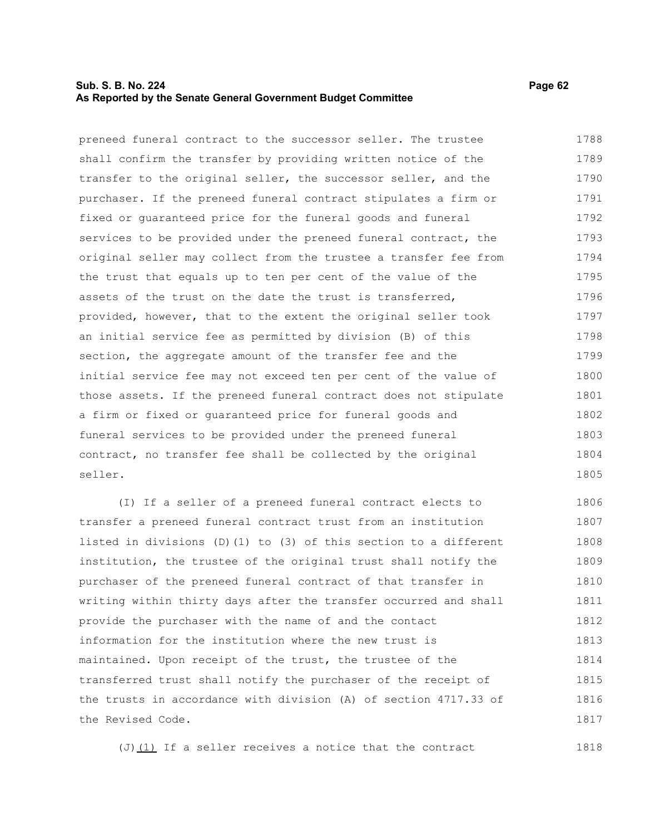# **Sub. S. B. No. 224 Page 62 As Reported by the Senate General Government Budget Committee**

preneed funeral contract to the successor seller. The trustee shall confirm the transfer by providing written notice of the transfer to the original seller, the successor seller, and the purchaser. If the preneed funeral contract stipulates a firm or fixed or guaranteed price for the funeral goods and funeral services to be provided under the preneed funeral contract, the original seller may collect from the trustee a transfer fee from the trust that equals up to ten per cent of the value of the assets of the trust on the date the trust is transferred, provided, however, that to the extent the original seller took an initial service fee as permitted by division (B) of this section, the aggregate amount of the transfer fee and the initial service fee may not exceed ten per cent of the value of those assets. If the preneed funeral contract does not stipulate a firm or fixed or guaranteed price for funeral goods and funeral services to be provided under the preneed funeral contract, no transfer fee shall be collected by the original seller. 1788 1789 1790 1791 1792 1793 1794 1795 1796 1797 1798 1799 1800 1801 1802 1803 1804 1805

(I) If a seller of a preneed funeral contract elects to transfer a preneed funeral contract trust from an institution listed in divisions (D)(1) to (3) of this section to a different institution, the trustee of the original trust shall notify the purchaser of the preneed funeral contract of that transfer in writing within thirty days after the transfer occurred and shall provide the purchaser with the name of and the contact information for the institution where the new trust is maintained. Upon receipt of the trust, the trustee of the transferred trust shall notify the purchaser of the receipt of the trusts in accordance with division (A) of section 4717.33 of the Revised Code. 1806 1807 1808 1809 1810 1811 1812 1813 1814 1815 1816 1817

(J)(1) If a seller receives a notice that the contract 1818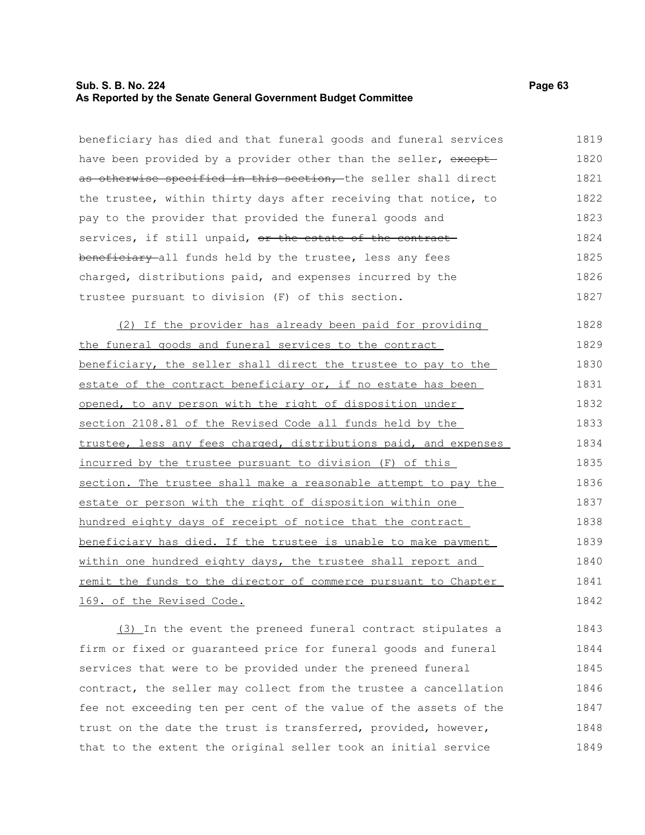# **Sub. S. B. No. 224 Page 63 As Reported by the Senate General Government Budget Committee**

beneficiary has died and that funeral goods and funeral services have been provided by a provider other than the seller, exceptas otherwise specified in this section, the seller shall direct the trustee, within thirty days after receiving that notice, to pay to the provider that provided the funeral goods and services, if still unpaid, or the estate of the contractbeneficiary all funds held by the trustee, less any fees charged, distributions paid, and expenses incurred by the trustee pursuant to division (F) of this section. 1819 1820 1821 1822 1823 1824 1825 1826 1827

(2) If the provider has already been paid for providing the funeral goods and funeral services to the contract beneficiary, the seller shall direct the trustee to pay to the estate of the contract beneficiary or, if no estate has been opened, to any person with the right of disposition under section 2108.81 of the Revised Code all funds held by the trustee, less any fees charged, distributions paid, and expenses incurred by the trustee pursuant to division (F) of this section. The trustee shall make a reasonable attempt to pay the estate or person with the right of disposition within one hundred eighty days of receipt of notice that the contract beneficiary has died. If the trustee is unable to make payment within one hundred eighty days, the trustee shall report and remit the funds to the director of commerce pursuant to Chapter 169. of the Revised Code. 1828 1829 1830 1831 1832 1833 1834 1835 1836 1837 1838 1839 1840 1841 1842

(3) In the event the preneed funeral contract stipulates a firm or fixed or guaranteed price for funeral goods and funeral services that were to be provided under the preneed funeral contract, the seller may collect from the trustee a cancellation fee not exceeding ten per cent of the value of the assets of the trust on the date the trust is transferred, provided, however, that to the extent the original seller took an initial service 1843 1844 1845 1846 1847 1848 1849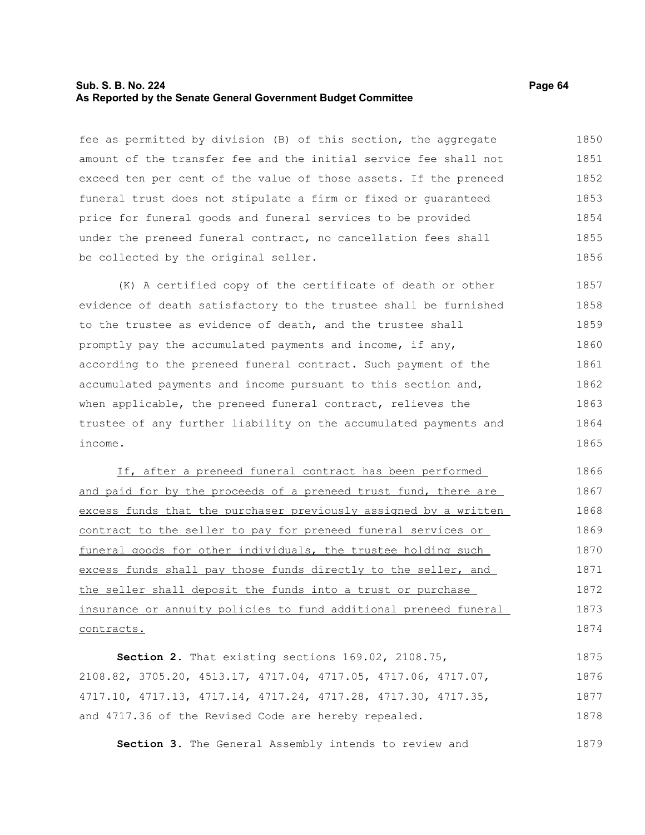#### **Sub. S. B. No. 224 Page 64 As Reported by the Senate General Government Budget Committee**

fee as permitted by division (B) of this section, the aggregate amount of the transfer fee and the initial service fee shall not exceed ten per cent of the value of those assets. If the preneed funeral trust does not stipulate a firm or fixed or guaranteed price for funeral goods and funeral services to be provided under the preneed funeral contract, no cancellation fees shall be collected by the original seller. 1850 1851 1852 1853 1854 1855 1856

(K) A certified copy of the certificate of death or other evidence of death satisfactory to the trustee shall be furnished to the trustee as evidence of death, and the trustee shall promptly pay the accumulated payments and income, if any, according to the preneed funeral contract. Such payment of the accumulated payments and income pursuant to this section and, when applicable, the preneed funeral contract, relieves the trustee of any further liability on the accumulated payments and income. 1857 1858 1859 1860 1861 1862 1863 1864 1865

If, after a preneed funeral contract has been performed and paid for by the proceeds of a preneed trust fund, there are excess funds that the purchaser previously assigned by a written contract to the seller to pay for preneed funeral services or funeral goods for other individuals, the trustee holding such excess funds shall pay those funds directly to the seller, and the seller shall deposit the funds into a trust or purchase insurance or annuity policies to fund additional preneed funeral contracts. 1866 1867 1868 1869 1870 1871 1872 1873 1874

**Section 2.** That existing sections 169.02, 2108.75, 2108.82, 3705.20, 4513.17, 4717.04, 4717.05, 4717.06, 4717.07, 4717.10, 4717.13, 4717.14, 4717.24, 4717.28, 4717.30, 4717.35, and 4717.36 of the Revised Code are hereby repealed. 1875 1876 1877 1878

**Section 3.** The General Assembly intends to review and 1879